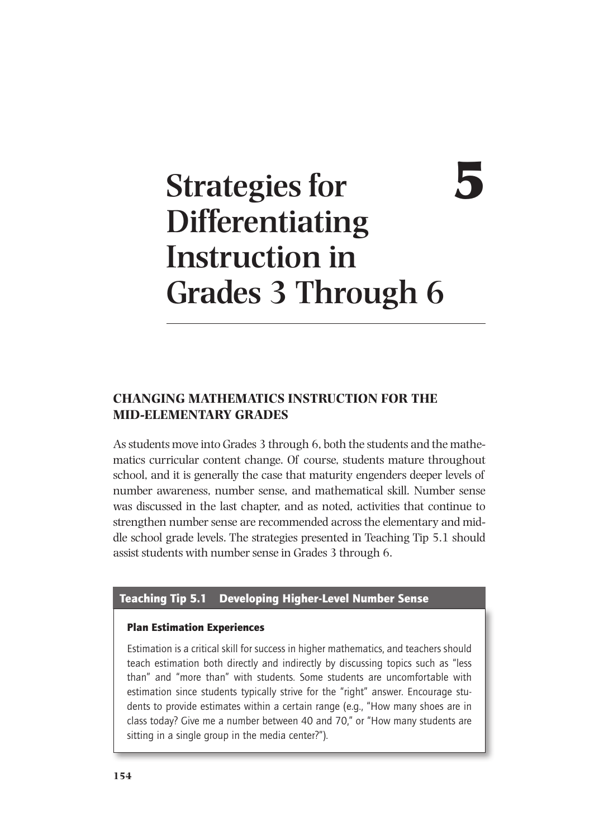# **CHANGING MATHEMATICS INSTRUCTION FOR THE MID-ELEMENTARY GRADES**

As students move into Grades 3 through 6, both the students and the mathematics curricular content change. Of course, students mature throughout school, and it is generally the case that maturity engenders deeper levels of number awareness, number sense, and mathematical skill. Number sense was discussed in the last chapter, and as noted, activities that continue to strengthen number sense are recommended across the elementary and middle school grade levels. The strategies presented in Teaching Tip 5.1 should assist students with number sense in Grades 3 through 6.

# Teaching Tip 5.1 Developing Higher-Level Number Sense

## Plan Estimation Experiences

Estimation is a critical skill for success in higher mathematics, and teachers should teach estimation both directly and indirectly by discussing topics such as "less than" and "more than" with students. Some students are uncomfortable with estimation since students typically strive for the "right" answer. Encourage students to provide estimates within a certain range (e.g., "How many shoes are in class today? Give me a number between 40 and 70," or "How many students are sitting in a single group in the media center?").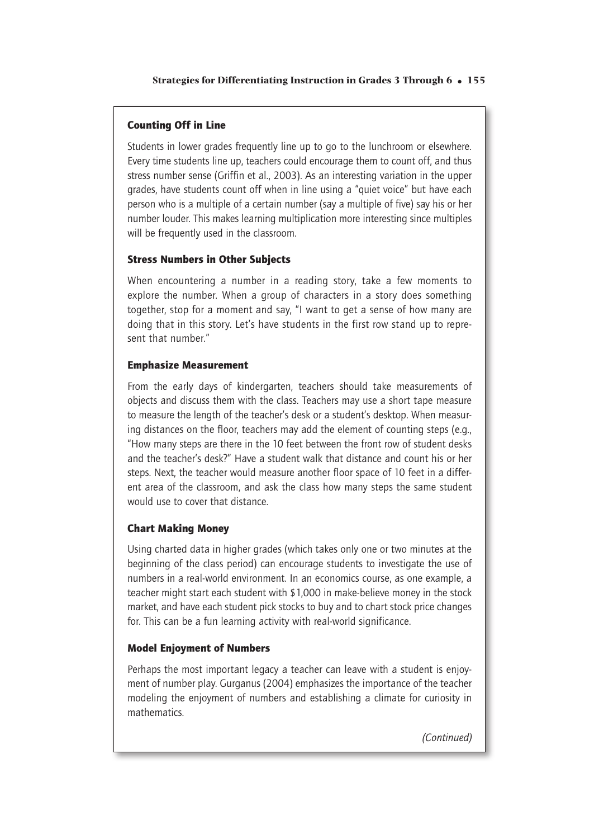# Counting Off in Line

Students in lower grades frequently line up to go to the lunchroom or elsewhere. Every time students line up, teachers could encourage them to count off, and thus stress number sense (Griffin et al., 2003). As an interesting variation in the upper grades, have students count off when in line using a "quiet voice" but have each person who is a multiple of a certain number (say a multiple of five) say his or her number louder. This makes learning multiplication more interesting since multiples will be frequently used in the classroom.

# Stress Numbers in Other Subjects

When encountering a number in a reading story, take a few moments to explore the number. When a group of characters in a story does something together, stop for a moment and say, "I want to get a sense of how many are doing that in this story. Let's have students in the first row stand up to represent that number."

# Emphasize Measurement

From the early days of kindergarten, teachers should take measurements of objects and discuss them with the class. Teachers may use a short tape measure to measure the length of the teacher's desk or a student's desktop. When measuring distances on the floor, teachers may add the element of counting steps (e.g., "How many steps are there in the 10 feet between the front row of student desks and the teacher's desk?" Have a student walk that distance and count his or her steps. Next, the teacher would measure another floor space of 10 feet in a different area of the classroom, and ask the class how many steps the same student would use to cover that distance.

# Chart Making Money

Using charted data in higher grades (which takes only one or two minutes at the beginning of the class period) can encourage students to investigate the use of numbers in a real-world environment. In an economics course, as one example, a teacher might start each student with \$1,000 in make-believe money in the stock market, and have each student pick stocks to buy and to chart stock price changes for. This can be a fun learning activity with real-world significance.

# Model Enjoyment of Numbers

Perhaps the most important legacy a teacher can leave with a student is enjoyment of number play. Gurganus (2004) emphasizes the importance of the teacher modeling the enjoyment of numbers and establishing a climate for curiosity in mathematics.

*(Continued)*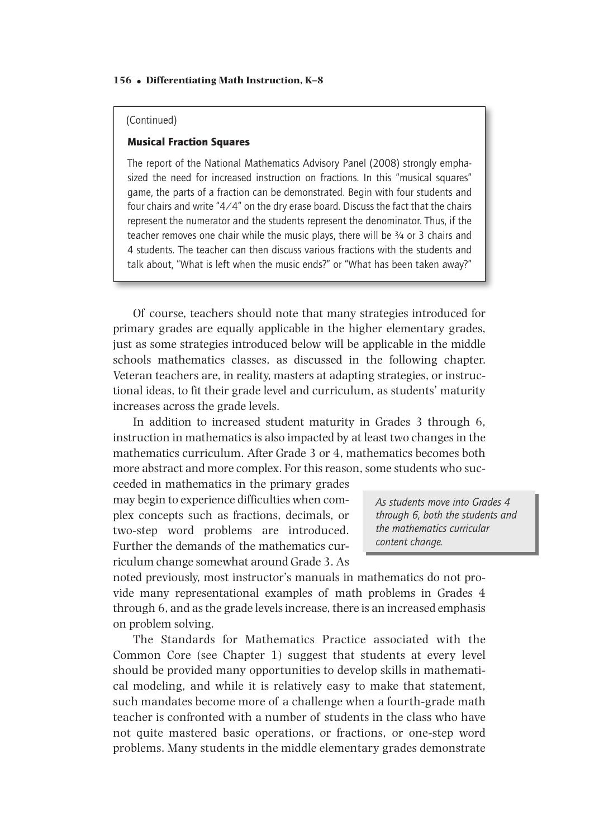#### (Continued)

# Musical Fraction Squares

The report of the National Mathematics Advisory Panel (2008) strongly emphasized the need for increased instruction on fractions. In this "musical squares" game, the parts of a fraction can be demonstrated. Begin with four students and four chairs and write "4/4" on the dry erase board. Discuss the fact that the chairs represent the numerator and the students represent the denominator. Thus, if the teacher removes one chair while the music plays, there will be  $\frac{3}{4}$  or 3 chairs and 4 students. The teacher can then discuss various fractions with the students and talk about, "What is left when the music ends?" or "What has been taken away?"

Of course, teachers should note that many strategies introduced for primary grades are equally applicable in the higher elementary grades, just as some strategies introduced below will be applicable in the middle schools mathematics classes, as discussed in the following chapter. Veteran teachers are, in reality, masters at adapting strategies, or instructional ideas, to fit their grade level and curriculum, as students' maturity increases across the grade levels.

In addition to increased student maturity in Grades 3 through 6, instruction in mathematics is also impacted by at least two changes in the mathematics curriculum. After Grade 3 or 4, mathematics becomes both more abstract and more complex. For this reason, some students who succeeded in mathematics in the primary grades

may begin to experience difficulties when complex concepts such as fractions, decimals, or two-step word problems are introduced. Further the demands of the mathematics curriculum change somewhat around Grade 3. As

*As students move into Grades 4 through 6, both the students and the mathematics curricular content change.*

noted previously, most instructor's manuals in mathematics do not provide many representational examples of math problems in Grades 4 through 6, and as the grade levels increase, there is an increased emphasis on problem solving.

The Standards for Mathematics Practice associated with the Common Core (see Chapter 1) suggest that students at every level should be provided many opportunities to develop skills in mathematical modeling, and while it is relatively easy to make that statement, such mandates become more of a challenge when a fourth-grade math teacher is confronted with a number of students in the class who have not quite mastered basic operations, or fractions, or one-step word problems. Many students in the middle elementary grades demonstrate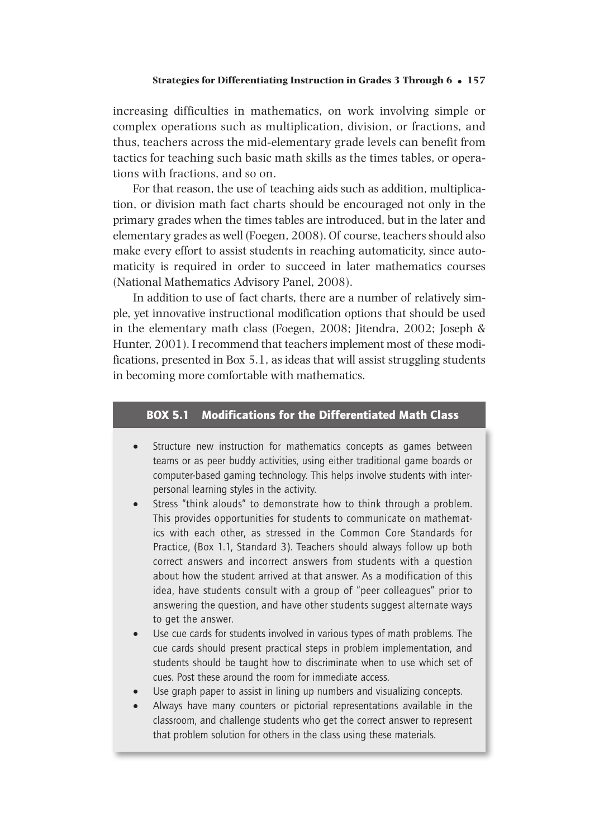increasing difficulties in mathematics, on work involving simple or complex operations such as multiplication, division, or fractions, and thus, teachers across the mid-elementary grade levels can benefit from tactics for teaching such basic math skills as the times tables, or operations with fractions, and so on.

For that reason, the use of teaching aids such as addition, multiplication, or division math fact charts should be encouraged not only in the primary grades when the times tables are introduced, but in the later and elementary grades as well (Foegen, 2008). Of course, teachers should also make every effort to assist students in reaching automaticity, since automaticity is required in order to succeed in later mathematics courses (National Mathematics Advisory Panel, 2008).

In addition to use of fact charts, there are a number of relatively simple, yet innovative instructional modification options that should be used in the elementary math class (Foegen, 2008; Jitendra, 2002; Joseph & Hunter, 2001). I recommend that teachers implement most of these modifications, presented in Box 5.1, as ideas that will assist struggling students in becoming more comfortable with mathematics.

# BOX 5.1 Modifications for the Differentiated Math Class

- Structure new instruction for mathematics concepts as games between teams or as peer buddy activities, using either traditional game boards or computer-based gaming technology. This helps involve students with interpersonal learning styles in the activity.
- Stress "think alouds" to demonstrate how to think through a problem. This provides opportunities for students to communicate on mathematics with each other, as stressed in the Common Core Standards for Practice, (Box 1.1, Standard 3). Teachers should always follow up both correct answers and incorrect answers from students with a question about how the student arrived at that answer. As a modification of this idea, have students consult with a group of "peer colleagues" prior to answering the question, and have other students suggest alternate ways to get the answer.
- Use cue cards for students involved in various types of math problems. The cue cards should present practical steps in problem implementation, and students should be taught how to discriminate when to use which set of cues. Post these around the room for immediate access.
- Use graph paper to assist in lining up numbers and visualizing concepts.
- Always have many counters or pictorial representations available in the classroom, and challenge students who get the correct answer to represent that problem solution for others in the class using these materials.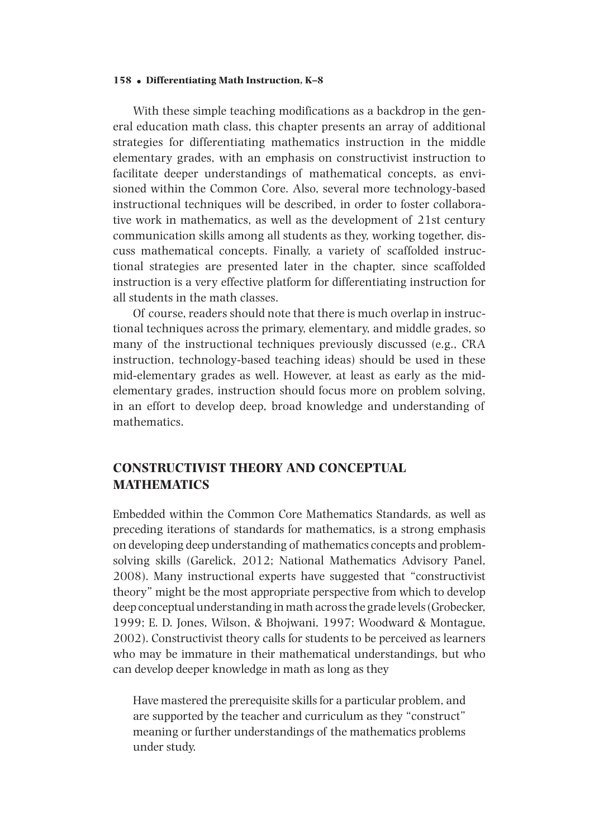With these simple teaching modifications as a backdrop in the general education math class, this chapter presents an array of additional strategies for differentiating mathematics instruction in the middle elementary grades, with an emphasis on constructivist instruction to facilitate deeper understandings of mathematical concepts, as envisioned within the Common Core. Also, several more technology-based instructional techniques will be described, in order to foster collaborative work in mathematics, as well as the development of 21st century communication skills among all students as they, working together, discuss mathematical concepts. Finally, a variety of scaffolded instructional strategies are presented later in the chapter, since scaffolded instruction is a very effective platform for differentiating instruction for all students in the math classes.

Of course, readers should note that there is much overlap in instructional techniques across the primary, elementary, and middle grades, so many of the instructional techniques previously discussed (e.g., CRA instruction, technology-based teaching ideas) should be used in these mid-elementary grades as well. However, at least as early as the midelementary grades, instruction should focus more on problem solving, in an effort to develop deep, broad knowledge and understanding of mathematics.

# **CONSTRUCTIVIST THEORY AND CONCEPTUAL MATHEMATICS**

Embedded within the Common Core Mathematics Standards, as well as preceding iterations of standards for mathematics, is a strong emphasis on developing deep understanding of mathematics concepts and problemsolving skills (Garelick, 2012; National Mathematics Advisory Panel, 2008). Many instructional experts have suggested that "constructivist theory" might be the most appropriate perspective from which to develop deep conceptual understanding in math across the grade levels (Grobecker, 1999; E. D. Jones, Wilson, & Bhojwani, 1997; Woodward & Montague, 2002). Constructivist theory calls for students to be perceived as learners who may be immature in their mathematical understandings, but who can develop deeper knowledge in math as long as they

Have mastered the prerequisite skills for a particular problem, and are supported by the teacher and curriculum as they "construct" meaning or further understandings of the mathematics problems under study.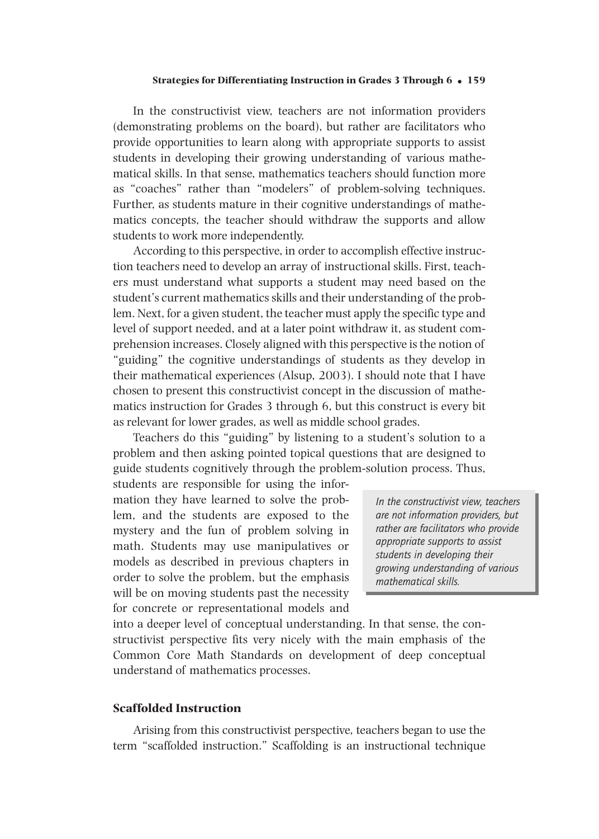In the constructivist view, teachers are not information providers (demonstrating problems on the board), but rather are facilitators who provide opportunities to learn along with appropriate supports to assist students in developing their growing understanding of various mathematical skills. In that sense, mathematics teachers should function more as "coaches" rather than "modelers" of problem-solving techniques. Further, as students mature in their cognitive understandings of mathematics concepts, the teacher should withdraw the supports and allow students to work more independently.

According to this perspective, in order to accomplish effective instruction teachers need to develop an array of instructional skills. First, teachers must understand what supports a student may need based on the student's current mathematics skills and their understanding of the problem. Next, for a given student, the teacher must apply the specific type and level of support needed, and at a later point withdraw it, as student comprehension increases. Closely aligned with this perspective is the notion of "guiding" the cognitive understandings of students as they develop in their mathematical experiences (Alsup, 2003). I should note that I have chosen to present this constructivist concept in the discussion of mathematics instruction for Grades 3 through 6, but this construct is every bit as relevant for lower grades, as well as middle school grades.

Teachers do this "guiding" by listening to a student's solution to a problem and then asking pointed topical questions that are designed to guide students cognitively through the problem-solution process. Thus, students are responsible for using the infor-

mation they have learned to solve the problem, and the students are exposed to the mystery and the fun of problem solving in math. Students may use manipulatives or models as described in previous chapters in order to solve the problem, but the emphasis will be on moving students past the necessity for concrete or representational models and

*In the constructivist view, teachers are not information providers, but rather are facilitators who provide appropriate supports to assist students in developing their growing understanding of various mathematical skills.*

into a deeper level of conceptual understanding. In that sense, the constructivist perspective fits very nicely with the main emphasis of the Common Core Math Standards on development of deep conceptual understand of mathematics processes.

## **Scaffolded Instruction**

Arising from this constructivist perspective, teachers began to use the term "scaffolded instruction." Scaffolding is an instructional technique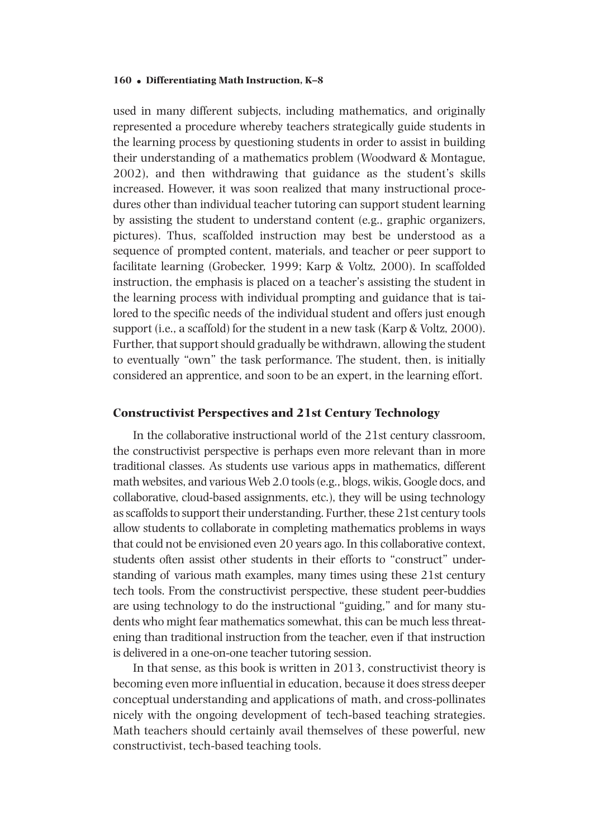used in many different subjects, including mathematics, and originally represented a procedure whereby teachers strategically guide students in the learning process by questioning students in order to assist in building their understanding of a mathematics problem (Woodward & Montague, 2002), and then withdrawing that guidance as the student's skills increased. However, it was soon realized that many instructional procedures other than individual teacher tutoring can support student learning by assisting the student to understand content (e.g., graphic organizers, pictures). Thus, scaffolded instruction may best be understood as a sequence of prompted content, materials, and teacher or peer support to facilitate learning (Grobecker, 1999; Karp & Voltz, 2000). In scaffolded instruction, the emphasis is placed on a teacher's assisting the student in the learning process with individual prompting and guidance that is tailored to the specific needs of the individual student and offers just enough support (i.e., a scaffold) for the student in a new task (Karp & Voltz, 2000). Further, that support should gradually be withdrawn, allowing the student to eventually "own" the task performance. The student, then, is initially considered an apprentice, and soon to be an expert, in the learning effort.

## **Constructivist Perspectives and 21st Century Technology**

In the collaborative instructional world of the 21st century classroom, the constructivist perspective is perhaps even more relevant than in more traditional classes. As students use various apps in mathematics, different math websites, and various Web 2.0 tools (e.g., blogs, wikis, Google docs, and collaborative, cloud-based assignments, etc.), they will be using technology as scaffolds to support their understanding. Further, these 21st century tools allow students to collaborate in completing mathematics problems in ways that could not be envisioned even 20 years ago. In this collaborative context, students often assist other students in their efforts to "construct" understanding of various math examples, many times using these 21st century tech tools. From the constructivist perspective, these student peer-buddies are using technology to do the instructional "guiding," and for many students who might fear mathematics somewhat, this can be much less threatening than traditional instruction from the teacher, even if that instruction is delivered in a one-on-one teacher tutoring session.

In that sense, as this book is written in 2013, constructivist theory is becoming even more influential in education, because it does stress deeper conceptual understanding and applications of math, and cross-pollinates nicely with the ongoing development of tech-based teaching strategies. Math teachers should certainly avail themselves of these powerful, new constructivist, tech-based teaching tools.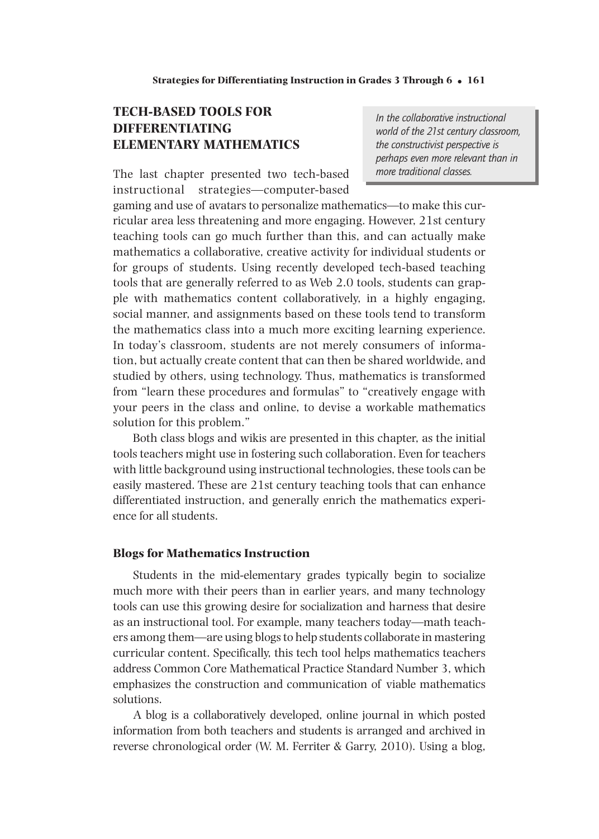# **TECH-BASED TOOLS FOR DIFFERENTIATING ELEMENTARY MATHEMATICS**

The last chapter presented two tech-based instructional strategies—computer-based

*In the collaborative instructional world of the 21st century classroom, the constructivist perspective is perhaps even more relevant than in more traditional classes.*

gaming and use of avatars to personalize mathematics—to make this curricular area less threatening and more engaging. However, 21st century teaching tools can go much further than this, and can actually make mathematics a collaborative, creative activity for individual students or for groups of students. Using recently developed tech-based teaching tools that are generally referred to as Web 2.0 tools, students can grapple with mathematics content collaboratively, in a highly engaging, social manner, and assignments based on these tools tend to transform the mathematics class into a much more exciting learning experience. In today's classroom, students are not merely consumers of information, but actually create content that can then be shared worldwide, and studied by others, using technology. Thus, mathematics is transformed from "learn these procedures and formulas" to "creatively engage with your peers in the class and online, to devise a workable mathematics solution for this problem."

Both class blogs and wikis are presented in this chapter, as the initial tools teachers might use in fostering such collaboration. Even for teachers with little background using instructional technologies, these tools can be easily mastered. These are 21st century teaching tools that can enhance differentiated instruction, and generally enrich the mathematics experience for all students.

# **Blogs for Mathematics Instruction**

Students in the mid-elementary grades typically begin to socialize much more with their peers than in earlier years, and many technology tools can use this growing desire for socialization and harness that desire as an instructional tool. For example, many teachers today—math teachers among them—are using blogs to help students collaborate in mastering curricular content. Specifically, this tech tool helps mathematics teachers address Common Core Mathematical Practice Standard Number 3, which emphasizes the construction and communication of viable mathematics solutions.

A blog is a collaboratively developed, online journal in which posted information from both teachers and students is arranged and archived in reverse chronological order (W. M. Ferriter & Garry, 2010). Using a blog,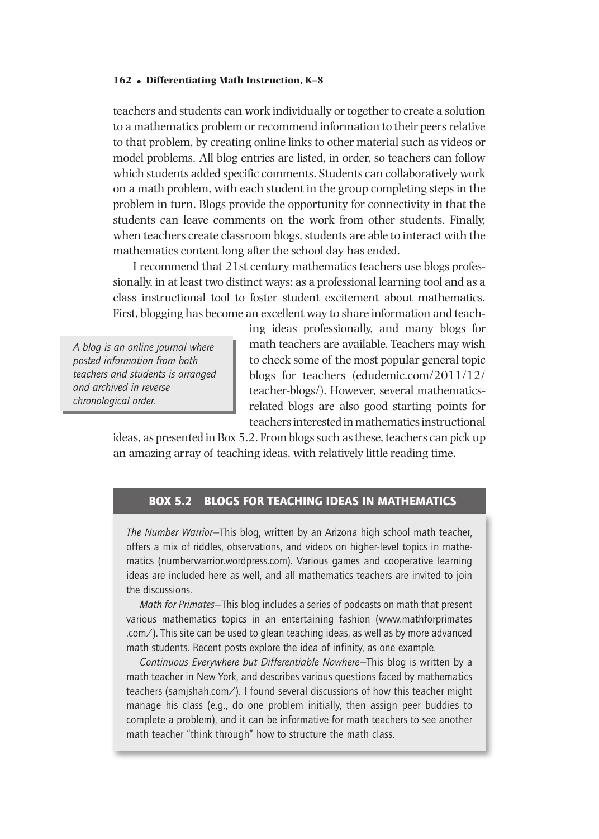teachers and students can work individually or together to create a solution to a mathematics problem or recommend information to their peers relative to that problem, by creating online links to other material such as videos or model problems. All blog entries are listed, in order, so teachers can follow which students added specific comments. Students can collaboratively work on a math problem, with each student in the group completing steps in the problem in turn. Blogs provide the opportunity for connectivity in that the students can leave comments on the work from other students. Finally, when teachers create classroom blogs, students are able to interact with the mathematics content long after the school day has ended.

I recommend that 21st century mathematics teachers use blogs professionally, in at least two distinct ways: as a professional learning tool and as a class instructional tool to foster student excitement about mathematics. First, blogging has become an excellent way to share information and teach-

*A blog is an online journal where posted information from both teachers and students is arranged and archived in reverse chronological order.*

ing ideas professionally, and many blogs for math teachers are available. Teachers may wish to check some of the most popular general topic blogs for teachers (edudemic.com/2011/12/ teacher-blogs/). However, several mathematicsrelated blogs are also good starting points for teachers interested in mathematics instructional

ideas, as presented in Box 5.2. From blogs such as these, teachers can pick up an amazing array of teaching ideas, with relatively little reading time.

# BOX 5.2 BLOGS FOR TEACHING IDEAS IN MATHEMATICS

*The Number Warrior—*This blog, written by an Arizona high school math teacher, offers a mix of riddles, observations, and videos on higher-level topics in mathematics (numberwarrior.wordpress.com). Various games and cooperative learning ideas are included here as well, and all mathematics teachers are invited to join the discussions.

*Math for Primates—*This blog includes a series of podcasts on math that present various mathematics topics in an entertaining fashion (www.mathforprimates .com/). This site can be used to glean teaching ideas, as well as by more advanced math students. Recent posts explore the idea of infinity, as one example.

*Continuous Everywhere but Differentiable Nowhere—*This blog is written by a math teacher in New York, and describes various questions faced by mathematics teachers (samjshah.com/). I found several discussions of how this teacher might manage his class (e.g., do one problem initially, then assign peer buddies to complete a problem), and it can be informative for math teachers to see another math teacher "think through" how to structure the math class.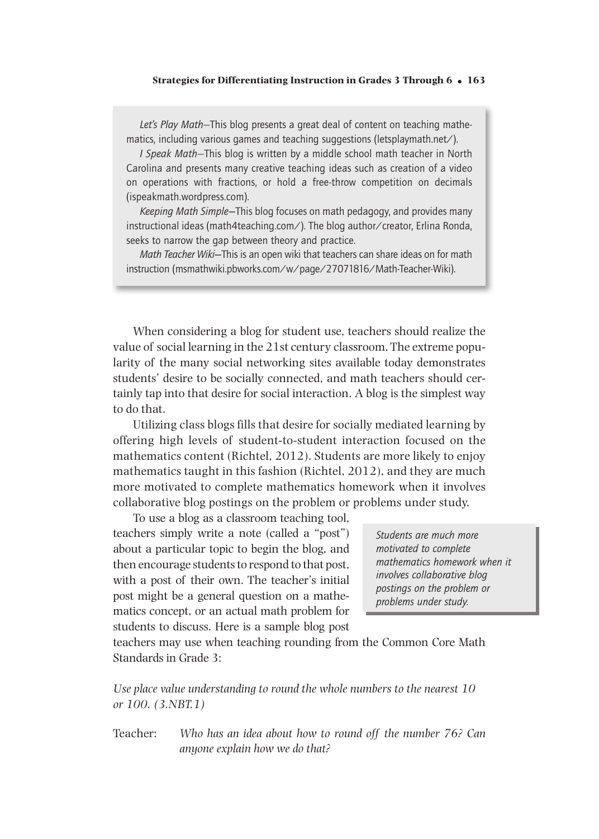*Let's Play Math—*This blog presents a great deal of content on teaching mathematics, including various games and teaching suggestions (letsplaymath.net/).

*I Speak Math—*This blog is written by a middle school math teacher in North Carolina and presents many creative teaching ideas such as creation of a video on operations with fractions, or hold a free-throw competition on decimals (ispeakmath.wordpress.com).

*Keeping Math Simple—*This blog focuses on math pedagogy, and provides many instructional ideas (math4teaching.com/). The blog author/creator, Erlina Ronda, seeks to narrow the gap between theory and practice.

*Math Teacher Wiki—*This is an open wiki that teachers can share ideas on for math instruction (msmathwiki.pbworks.com/w/page/27071816/Math-Teacher-Wiki).

When considering a blog for student use, teachers should realize the value of social learning in the 21st century classroom. The extreme popularity of the many social networking sites available today demonstrates students' desire to be socially connected, and math teachers should certainly tap into that desire for social interaction. A blog is the simplest way to do that.

Utilizing class blogs fills that desire for socially mediated learning by offering high levels of student-to-student interaction focused on the mathematics content (Richtel, 2012). Students are more likely to enjoy mathematics taught in this fashion (Richtel, 2012), and they are much more motivated to complete mathematics homework when it involves collaborative blog postings on the problem or problems under study.

To use a blog as a classroom teaching tool, teachers simply write a note (called a "post") about a particular topic to begin the blog, and then encourage students to respond to that post, with a post of their own. The teacher's initial post might be a general question on a mathematics concept, or an actual math problem for students to discuss. Here is a sample blog post

*Students are much more motivated to complete mathematics homework when it involves collaborative blog postings on the problem or problems under study.*

teachers may use when teaching rounding from the Common Core Math Standards in Grade 3:

*Use place value understanding to round the whole numbers to the nearest 10 or 100. (3.NBT.1)*

Teacher: *Who has an idea about how to round off the number 76? Can anyone explain how we do that?*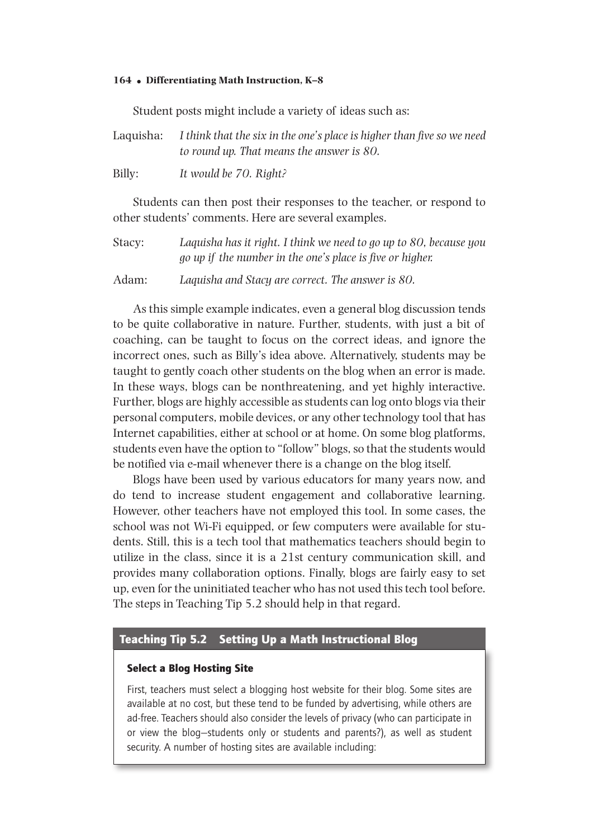Student posts might include a variety of ideas such as:

| Laquisha: I think that the six in the one's place is higher than five so we need |
|----------------------------------------------------------------------------------|
| to round up. That means the answer is 80.                                        |
|                                                                                  |

Billy: *It would be 70. Right?*

Students can then post their responses to the teacher, or respond to other students' comments. Here are several examples.

Stacy: *Laquisha has it right. I think we need to go up to 80, because you go up if the number in the one's place is five or higher.*

Adam: *Laquisha and Stacy are correct. The answer is 80.*

As this simple example indicates, even a general blog discussion tends to be quite collaborative in nature. Further, students, with just a bit of coaching, can be taught to focus on the correct ideas, and ignore the incorrect ones, such as Billy's idea above. Alternatively, students may be taught to gently coach other students on the blog when an error is made. In these ways, blogs can be nonthreatening, and yet highly interactive. Further, blogs are highly accessible as students can log onto blogs via their personal computers, mobile devices, or any other technology tool that has Internet capabilities, either at school or at home. On some blog platforms, students even have the option to "follow" blogs, so that the students would be notified via e-mail whenever there is a change on the blog itself.

Blogs have been used by various educators for many years now, and do tend to increase student engagement and collaborative learning. However, other teachers have not employed this tool. In some cases, the school was not Wi-Fi equipped, or few computers were available for students. Still, this is a tech tool that mathematics teachers should begin to utilize in the class, since it is a 21st century communication skill, and provides many collaboration options. Finally, blogs are fairly easy to set up, even for the uninitiated teacher who has not used this tech tool before. The steps in Teaching Tip 5.2 should help in that regard.

# Teaching Tip 5.2 Setting Up a Math Instructional Blog

## Select a Blog Hosting Site

First, teachers must select a blogging host website for their blog. Some sites are available at no cost, but these tend to be funded by advertising, while others are ad-free. Teachers should also consider the levels of privacy (who can participate in or view the blog—students only or students and parents?), as well as student security. A number of hosting sites are available including: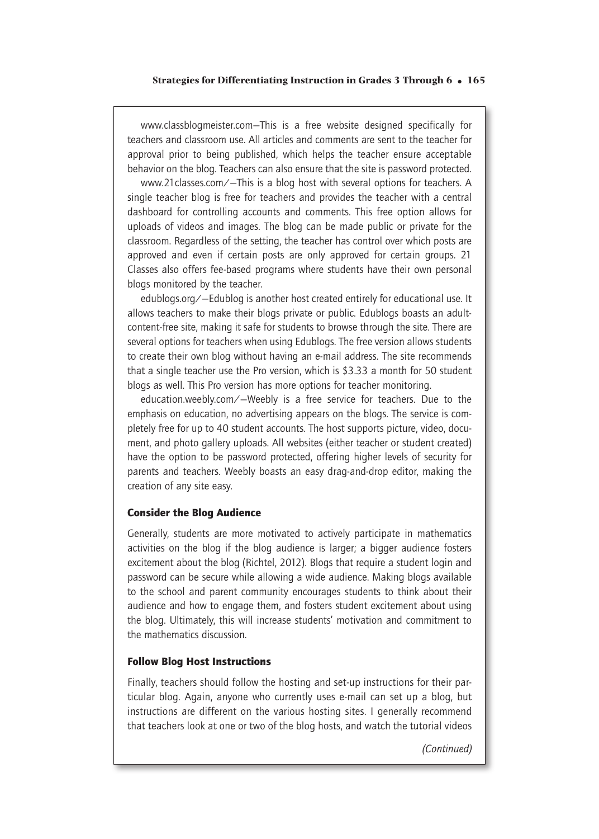www.classblogmeister.com—This is a free website designed specifically for teachers and classroom use. All articles and comments are sent to the teacher for approval prior to being published, which helps the teacher ensure acceptable behavior on the blog. Teachers can also ensure that the site is password protected.

www.21classes.com/—This is a blog host with several options for teachers. A single teacher blog is free for teachers and provides the teacher with a central dashboard for controlling accounts and comments. This free option allows for uploads of videos and images. The blog can be made public or private for the classroom. Regardless of the setting, the teacher has control over which posts are approved and even if certain posts are only approved for certain groups. 21 Classes also offers fee-based programs where students have their own personal blogs monitored by the teacher.

edublogs.org/—Edublog is another host created entirely for educational use. It allows teachers to make their blogs private or public. Edublogs boasts an adultcontent-free site, making it safe for students to browse through the site. There are several options for teachers when using Edublogs. The free version allows students to create their own blog without having an e-mail address. The site recommends that a single teacher use the Pro version, which is \$3.33 a month for 50 student blogs as well. This Pro version has more options for teacher monitoring.

education.weebly.com/—Weebly is a free service for teachers. Due to the emphasis on education, no advertising appears on the blogs. The service is completely free for up to 40 student accounts. The host supports picture, video, document, and photo gallery uploads. All websites (either teacher or student created) have the option to be password protected, offering higher levels of security for parents and teachers. Weebly boasts an easy drag-and-drop editor, making the creation of any site easy.

#### Consider the Blog Audience

Generally, students are more motivated to actively participate in mathematics activities on the blog if the blog audience is larger; a bigger audience fosters excitement about the blog (Richtel, 2012). Blogs that require a student login and password can be secure while allowing a wide audience. Making blogs available to the school and parent community encourages students to think about their audience and how to engage them, and fosters student excitement about using the blog. Ultimately, this will increase students' motivation and commitment to the mathematics discussion.

# Follow Blog Host Instructions

Finally, teachers should follow the hosting and set-up instructions for their particular blog. Again, anyone who currently uses e-mail can set up a blog, but instructions are different on the various hosting sites. I generally recommend that teachers look at one or two of the blog hosts, and watch the tutorial videos

*(Continued)*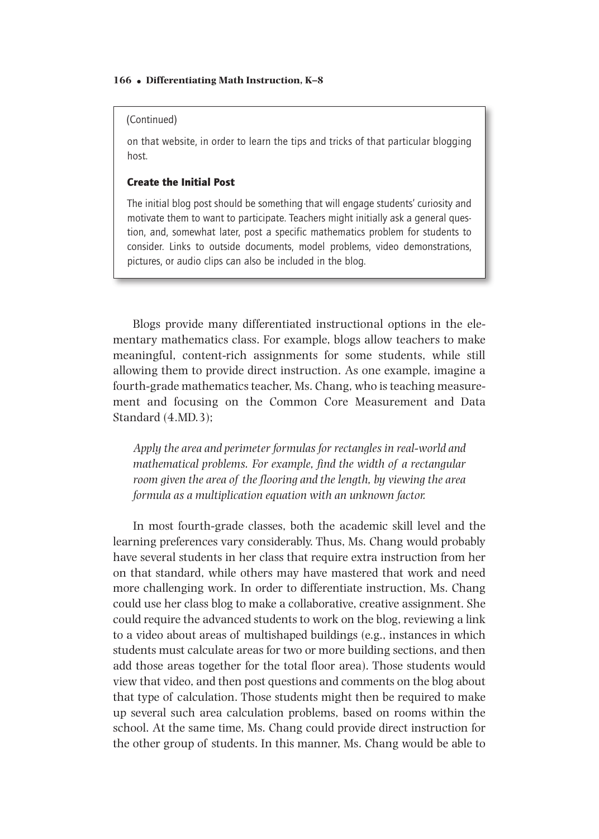## (Continued)

on that website, in order to learn the tips and tricks of that particular blogging host.

# Create the Initial Post

The initial blog post should be something that will engage students' curiosity and motivate them to want to participate. Teachers might initially ask a general question, and, somewhat later, post a specific mathematics problem for students to consider. Links to outside documents, model problems, video demonstrations, pictures, or audio clips can also be included in the blog.

Blogs provide many differentiated instructional options in the elementary mathematics class. For example, blogs allow teachers to make meaningful, content-rich assignments for some students, while still allowing them to provide direct instruction. As one example, imagine a fourth-grade mathematics teacher, Ms. Chang, who is teaching measurement and focusing on the Common Core Measurement and Data Standard (4.MD.3);

*Apply the area and perimeter formulas for rectangles in real-world and mathematical problems. For example, find the width of a rectangular room given the area of the flooring and the length, by viewing the area formula as a multiplication equation with an unknown factor.*

In most fourth-grade classes, both the academic skill level and the learning preferences vary considerably. Thus, Ms. Chang would probably have several students in her class that require extra instruction from her on that standard, while others may have mastered that work and need more challenging work. In order to differentiate instruction, Ms. Chang could use her class blog to make a collaborative, creative assignment. She could require the advanced students to work on the blog, reviewing a link to a video about areas of multishaped buildings (e.g., instances in which students must calculate areas for two or more building sections, and then add those areas together for the total floor area). Those students would view that video, and then post questions and comments on the blog about that type of calculation. Those students might then be required to make up several such area calculation problems, based on rooms within the school. At the same time, Ms. Chang could provide direct instruction for the other group of students. In this manner, Ms. Chang would be able to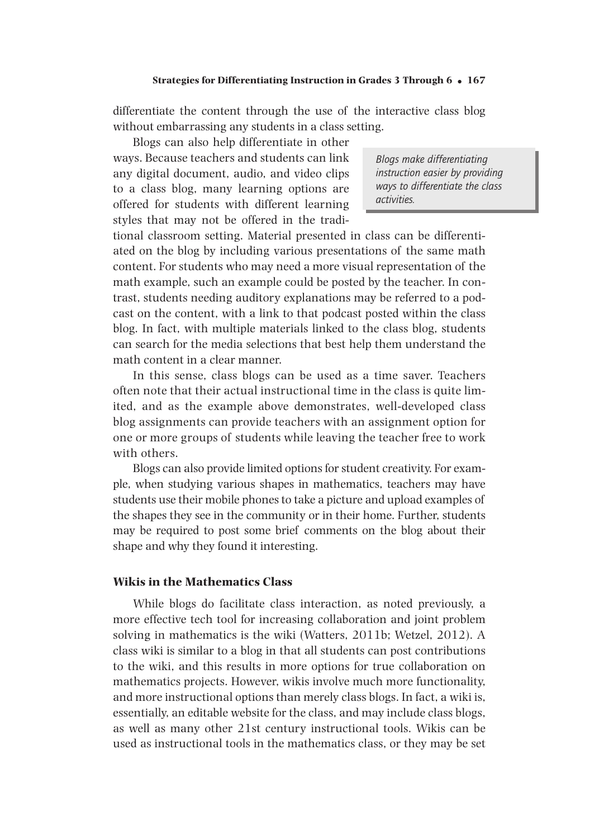differentiate the content through the use of the interactive class blog without embarrassing any students in a class setting.

Blogs can also help differentiate in other ways. Because teachers and students can link any digital document, audio, and video clips to a class blog, many learning options are offered for students with different learning styles that may not be offered in the tradi-

*Blogs make differentiating instruction easier by providing ways to differentiate the class activities.*

tional classroom setting. Material presented in class can be differentiated on the blog by including various presentations of the same math content. For students who may need a more visual representation of the math example, such an example could be posted by the teacher. In contrast, students needing auditory explanations may be referred to a podcast on the content, with a link to that podcast posted within the class blog. In fact, with multiple materials linked to the class blog, students can search for the media selections that best help them understand the math content in a clear manner.

In this sense, class blogs can be used as a time saver. Teachers often note that their actual instructional time in the class is quite limited, and as the example above demonstrates, well-developed class blog assignments can provide teachers with an assignment option for one or more groups of students while leaving the teacher free to work with others.

Blogs can also provide limited options for student creativity. For example, when studying various shapes in mathematics, teachers may have students use their mobile phones to take a picture and upload examples of the shapes they see in the community or in their home. Further, students may be required to post some brief comments on the blog about their shape and why they found it interesting.

# **Wikis in the Mathematics Class**

While blogs do facilitate class interaction, as noted previously, a more effective tech tool for increasing collaboration and joint problem solving in mathematics is the wiki (Watters, 2011b; Wetzel, 2012). A class wiki is similar to a blog in that all students can post contributions to the wiki, and this results in more options for true collaboration on mathematics projects. However, wikis involve much more functionality, and more instructional options than merely class blogs. In fact, a wiki is, essentially, an editable website for the class, and may include class blogs, as well as many other 21st century instructional tools. Wikis can be used as instructional tools in the mathematics class, or they may be set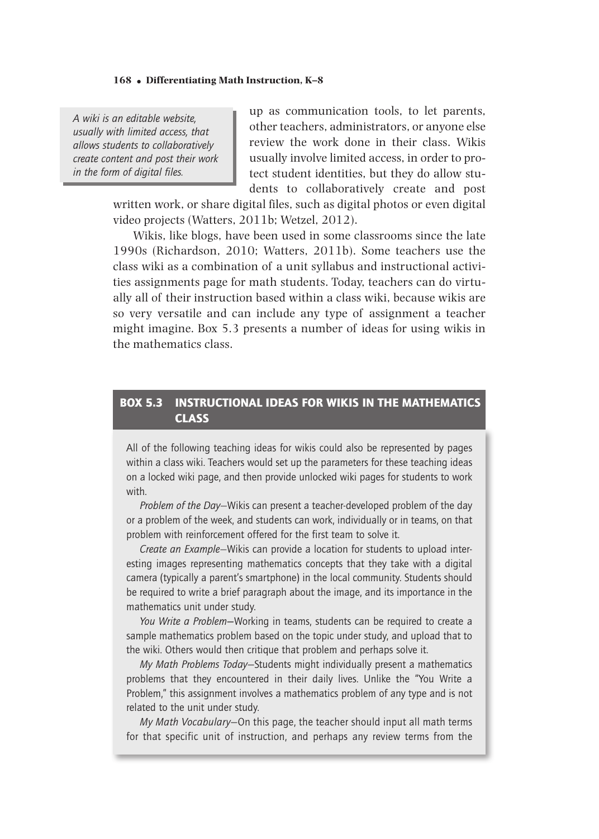*A wiki is an editable website, usually with limited access, that allows students to collaboratively create content and post their work in the form of digital files.*

up as communication tools, to let parents, other teachers, administrators, or anyone else review the work done in their class. Wikis usually involve limited access, in order to protect student identities, but they do allow students to collaboratively create and post

written work, or share digital files, such as digital photos or even digital video projects (Watters, 2011b; Wetzel, 2012).

Wikis, like blogs, have been used in some classrooms since the late 1990s (Richardson, 2010; Watters, 2011b). Some teachers use the class wiki as a combination of a unit syllabus and instructional activities assignments page for math students. Today, teachers can do virtually all of their instruction based within a class wiki, because wikis are so very versatile and can include any type of assignment a teacher might imagine. Box 5.3 presents a number of ideas for using wikis in the mathematics class.

# BOX 5.3 INSTRUCTIONAL IDEAS FOR WIKIS IN THE MATHEMATICS **CLASS**

All of the following teaching ideas for wikis could also be represented by pages within a class wiki. Teachers would set up the parameters for these teaching ideas on a locked wiki page, and then provide unlocked wiki pages for students to work with.

*Problem of the Day—*Wikis can present a teacher-developed problem of the day or a problem of the week, and students can work, individually or in teams, on that problem with reinforcement offered for the first team to solve it.

*Create an Example—*Wikis can provide a location for students to upload interesting images representing mathematics concepts that they take with a digital camera (typically a parent's smartphone) in the local community. Students should be required to write a brief paragraph about the image, and its importance in the mathematics unit under study.

*You Write a Problem—*Working in teams, students can be required to create a sample mathematics problem based on the topic under study, and upload that to the wiki. Others would then critique that problem and perhaps solve it.

*My Math Problems Today*—Students might individually present a mathematics problems that they encountered in their daily lives. Unlike the "You Write a Problem," this assignment involves a mathematics problem of any type and is not related to the unit under study.

*My Math Vocabulary*—On this page, the teacher should input all math terms for that specific unit of instruction, and perhaps any review terms from the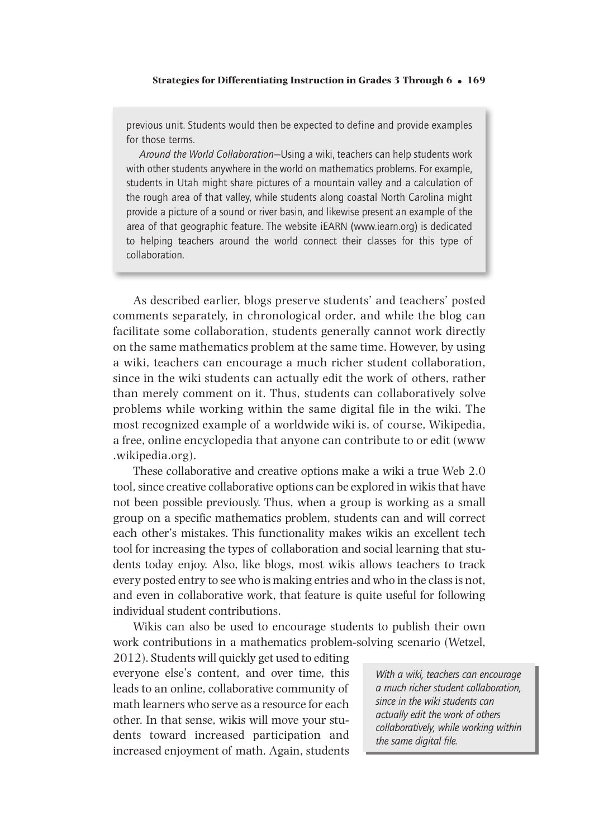previous unit. Students would then be expected to define and provide examples for those terms.

*Around the World Collaboration*—Using a wiki, teachers can help students work with other students anywhere in the world on mathematics problems. For example, students in Utah might share pictures of a mountain valley and a calculation of the rough area of that valley, while students along coastal North Carolina might provide a picture of a sound or river basin, and likewise present an example of the area of that geographic feature. The website iEARN (www.iearn.org) is dedicated to helping teachers around the world connect their classes for this type of collaboration.

As described earlier, blogs preserve students' and teachers' posted comments separately, in chronological order, and while the blog can facilitate some collaboration, students generally cannot work directly on the same mathematics problem at the same time. However, by using a wiki, teachers can encourage a much richer student collaboration, since in the wiki students can actually edit the work of others, rather than merely comment on it. Thus, students can collaboratively solve problems while working within the same digital file in the wiki. The most recognized example of a worldwide wiki is, of course, Wikipedia, a free, online encyclopedia that anyone can contribute to or edit (www .wikipedia.org).

These collaborative and creative options make a wiki a true Web 2.0 tool, since creative collaborative options can be explored in wikis that have not been possible previously. Thus, when a group is working as a small group on a specific mathematics problem, students can and will correct each other's mistakes. This functionality makes wikis an excellent tech tool for increasing the types of collaboration and social learning that students today enjoy. Also, like blogs, most wikis allows teachers to track every posted entry to see who is making entries and who in the class is not, and even in collaborative work, that feature is quite useful for following individual student contributions.

Wikis can also be used to encourage students to publish their own work contributions in a mathematics problem-solving scenario (Wetzel,

2012). Students will quickly get used to editing everyone else's content, and over time, this leads to an online, collaborative community of math learners who serve as a resource for each other. In that sense, wikis will move your students toward increased participation and increased enjoyment of math. Again, students

*With a wiki, teachers can encourage a much richer student collaboration, since in the wiki students can actually edit the work of others collaboratively, while working within the same digital file.*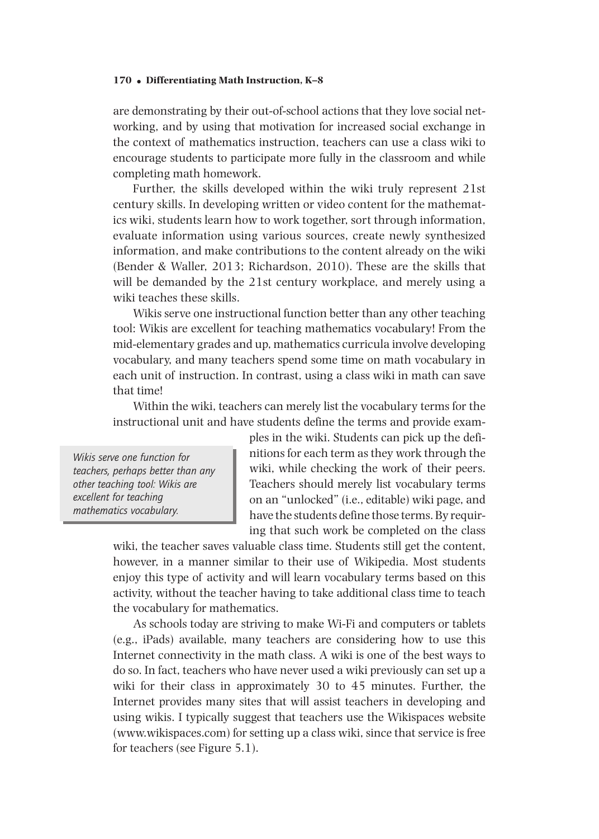are demonstrating by their out-of-school actions that they love social networking, and by using that motivation for increased social exchange in the context of mathematics instruction, teachers can use a class wiki to encourage students to participate more fully in the classroom and while completing math homework.

Further, the skills developed within the wiki truly represent 21st century skills. In developing written or video content for the mathematics wiki, students learn how to work together, sort through information, evaluate information using various sources, create newly synthesized information, and make contributions to the content already on the wiki (Bender & Waller, 2013; Richardson, 2010). These are the skills that will be demanded by the 21st century workplace, and merely using a wiki teaches these skills.

Wikis serve one instructional function better than any other teaching tool: Wikis are excellent for teaching mathematics vocabulary! From the mid-elementary grades and up, mathematics curricula involve developing vocabulary, and many teachers spend some time on math vocabulary in each unit of instruction. In contrast, using a class wiki in math can save that time!

Within the wiki, teachers can merely list the vocabulary terms for the instructional unit and have students define the terms and provide exam-

*Wikis serve one function for teachers, perhaps better than any other teaching tool: Wikis are excellent for teaching mathematics vocabulary.*

ples in the wiki. Students can pick up the definitions for each term as they work through the wiki, while checking the work of their peers. Teachers should merely list vocabulary terms on an "unlocked" (i.e., editable) wiki page, and have the students define those terms. By requiring that such work be completed on the class

wiki, the teacher saves valuable class time. Students still get the content, however, in a manner similar to their use of Wikipedia. Most students enjoy this type of activity and will learn vocabulary terms based on this activity, without the teacher having to take additional class time to teach the vocabulary for mathematics.

As schools today are striving to make Wi-Fi and computers or tablets (e.g., iPads) available, many teachers are considering how to use this Internet connectivity in the math class. A wiki is one of the best ways to do so. In fact, teachers who have never used a wiki previously can set up a wiki for their class in approximately 30 to 45 minutes. Further, the Internet provides many sites that will assist teachers in developing and using wikis. I typically suggest that teachers use the Wikispaces website (www.wikispaces.com) for setting up a class wiki, since that service is free for teachers (see Figure 5.1).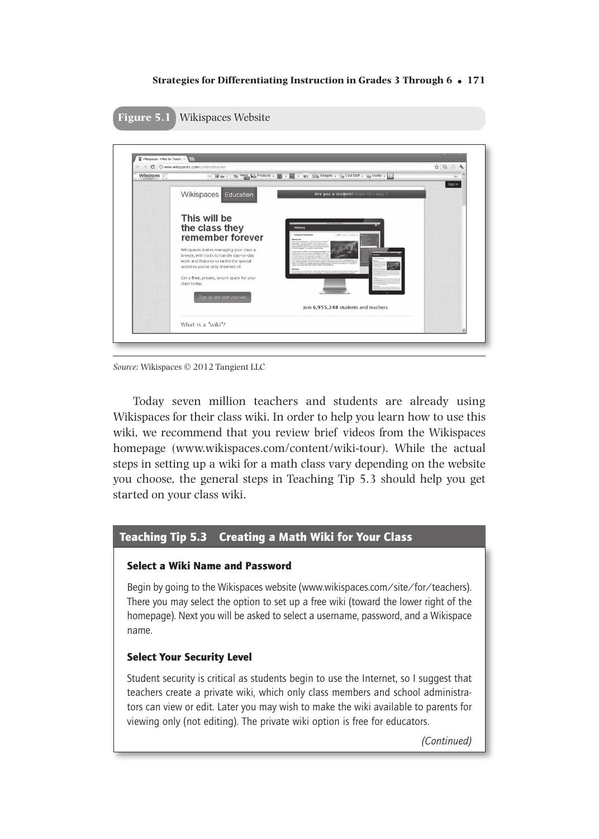| Wilspaces - Wikis for Teache X |                                                                                                                                                                                                                                                                                                                                                 |                                                                                        |                |
|--------------------------------|-------------------------------------------------------------------------------------------------------------------------------------------------------------------------------------------------------------------------------------------------------------------------------------------------------------------------------------------------|----------------------------------------------------------------------------------------|----------------|
| C                              | Www.wikispaces.com/content/teacher                                                                                                                                                                                                                                                                                                              |                                                                                        | ☆ 3<br>$\circ$ |
| Wisdom -                       |                                                                                                                                                                                                                                                                                                                                                 | - B Go - B News C Products - B - H - 6 @ Gadgets - G Cool Stuff - 18 Useful - 83       | 田              |
|                                | Wikispaces<br>Education<br>This will be<br>the class they<br>remember forever<br>Wikispaces makes managing your dass a<br>breeze, with tools to handle day-to-day<br>work and features to tackle the special<br>activities you've only dreamed of.<br>Get a free, private, secure space for your<br>class today.<br>Sign up and start your wiki | Are you a student? Right this way ><br>History<br>American Revolution<br>$0.001$ (2.0) |                |
|                                |                                                                                                                                                                                                                                                                                                                                                 | Join 6,955,248 students and teachers                                                   |                |

Source: Wikispaces  $\odot$  2012 Tangient LLC

Today seven million teachers and students are already using Wikispaces for their class wiki. In order to help you learn how to use this wiki, we recommend that you review brief videos from the Wikispaces homepage (www.wikispaces.com/content/wiki-tour). While the actual steps in setting up a wiki for a math class vary depending on the website you choose, the general steps in Teaching Tip 5.3 should help you get started on your class wiki.

# Teaching Tip 5.3 Creating a Math Wiki for Your Class

# Select a Wiki Name and Password

Begin by going to the Wikispaces website (www.wikispaces.com/site/for/teachers). There you may select the option to set up a free wiki (toward the lower right of the homepage). Next you will be asked to select a username, password, and a Wikispace name.

# Select Your Security Level

Student security is critical as students begin to use the Internet, so I suggest that teachers create a private wiki, which only class members and school administrators can view or edit. Later you may wish to make the wiki available to parents for viewing only (not editing). The private wiki option is free for educators.

*(Continued)*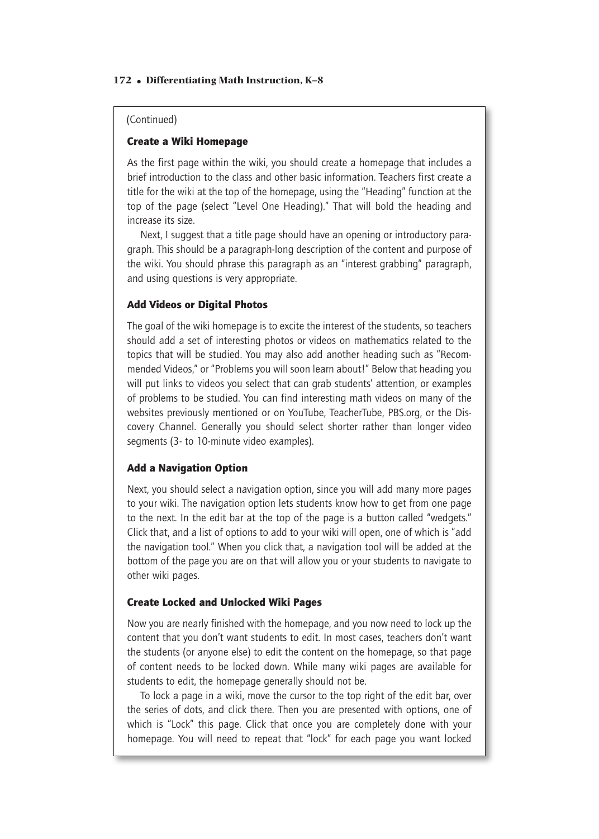# (Continued)

# Create a Wiki Homepage

As the first page within the wiki, you should create a homepage that includes a brief introduction to the class and other basic information. Teachers first create a title for the wiki at the top of the homepage, using the "Heading" function at the top of the page (select "Level One Heading)." That will bold the heading and increase its size.

Next, I suggest that a title page should have an opening or introductory paragraph. This should be a paragraph-long description of the content and purpose of the wiki. You should phrase this paragraph as an "interest grabbing" paragraph, and using questions is very appropriate.

# Add Videos or Digital Photos

The goal of the wiki homepage is to excite the interest of the students, so teachers should add a set of interesting photos or videos on mathematics related to the topics that will be studied. You may also add another heading such as "Recommended Videos," or "Problems you will soon learn about!" Below that heading you will put links to videos you select that can grab students' attention, or examples of problems to be studied. You can find interesting math videos on many of the websites previously mentioned or on YouTube, TeacherTube, PBS.org, or the Discovery Channel. Generally you should select shorter rather than longer video segments (3- to 10-minute video examples).

# Add a Navigation Option

Next, you should select a navigation option, since you will add many more pages to your wiki. The navigation option lets students know how to get from one page to the next. In the edit bar at the top of the page is a button called "wedgets." Click that, and a list of options to add to your wiki will open, one of which is "add the navigation tool." When you click that, a navigation tool will be added at the bottom of the page you are on that will allow you or your students to navigate to other wiki pages.

#### Create Locked and Unlocked Wiki Pages

Now you are nearly finished with the homepage, and you now need to lock up the content that you don't want students to edit. In most cases, teachers don't want the students (or anyone else) to edit the content on the homepage, so that page of content needs to be locked down. While many wiki pages are available for students to edit, the homepage generally should not be.

To lock a page in a wiki, move the cursor to the top right of the edit bar, over the series of dots, and click there. Then you are presented with options, one of which is "Lock" this page. Click that once you are completely done with your homepage. You will need to repeat that "lock" for each page you want locked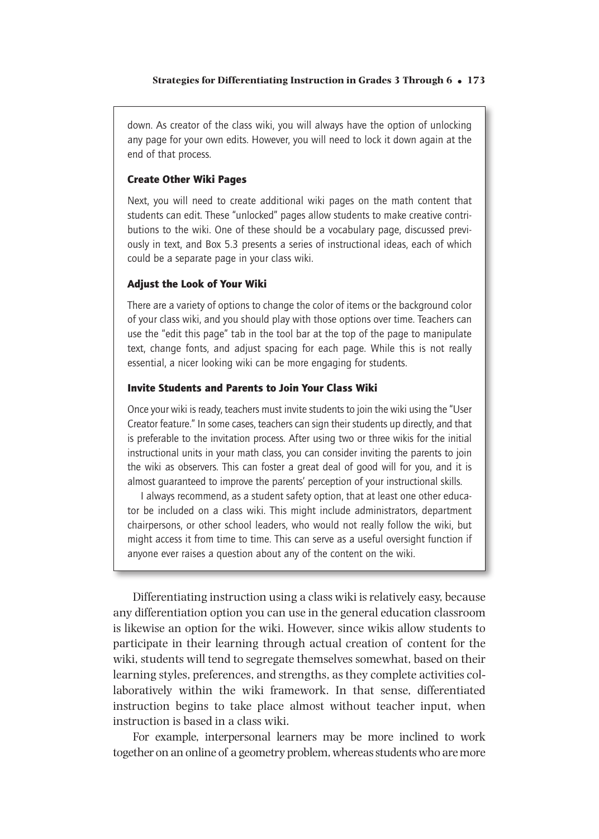down. As creator of the class wiki, you will always have the option of unlocking any page for your own edits. However, you will need to lock it down again at the end of that process.

## Create Other Wiki Pages

Next, you will need to create additional wiki pages on the math content that students can edit. These "unlocked" pages allow students to make creative contributions to the wiki. One of these should be a vocabulary page, discussed previously in text, and Box 5.3 presents a series of instructional ideas, each of which could be a separate page in your class wiki.

# Adjust the Look of Your Wiki

There are a variety of options to change the color of items or the background color of your class wiki, and you should play with those options over time. Teachers can use the "edit this page" tab in the tool bar at the top of the page to manipulate text, change fonts, and adjust spacing for each page. While this is not really essential, a nicer looking wiki can be more engaging for students.

# Invite Students and Parents to Join Your Class Wiki

Once your wiki is ready, teachers must invite students to join the wiki using the "User Creator feature." In some cases, teachers can sign their students up directly, and that is preferable to the invitation process. After using two or three wikis for the initial instructional units in your math class, you can consider inviting the parents to join the wiki as observers. This can foster a great deal of good will for you, and it is almost guaranteed to improve the parents' perception of your instructional skills.

I always recommend, as a student safety option, that at least one other educator be included on a class wiki. This might include administrators, department chairpersons, or other school leaders, who would not really follow the wiki, but might access it from time to time. This can serve as a useful oversight function if anyone ever raises a question about any of the content on the wiki.

Differentiating instruction using a class wiki is relatively easy, because any differentiation option you can use in the general education classroom is likewise an option for the wiki. However, since wikis allow students to participate in their learning through actual creation of content for the wiki, students will tend to segregate themselves somewhat, based on their learning styles, preferences, and strengths, as they complete activities collaboratively within the wiki framework. In that sense, differentiated instruction begins to take place almost without teacher input, when instruction is based in a class wiki.

For example, interpersonal learners may be more inclined to work together on an online of a geometry problem, whereas students who are more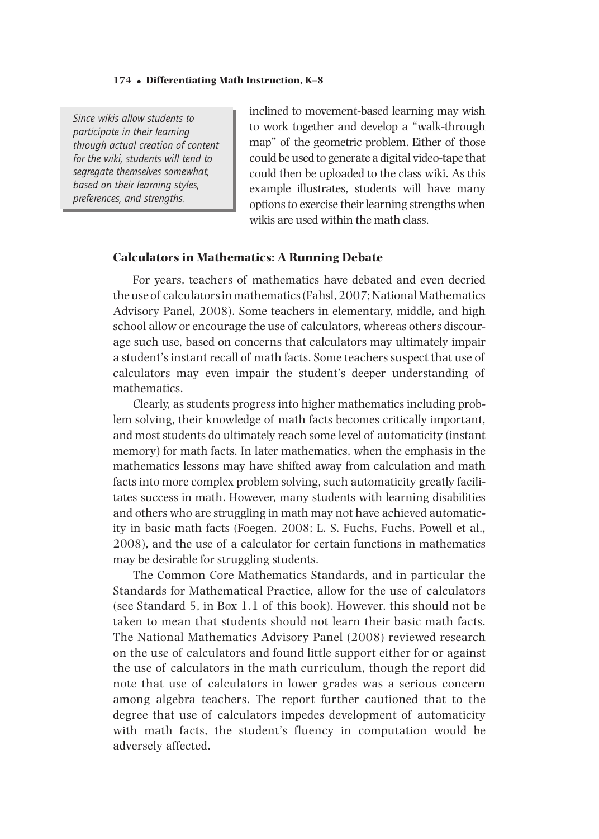*Since wikis allow students to participate in their learning through actual creation of content for the wiki, students will tend to segregate themselves somewhat, based on their learning styles, preferences, and strengths.*

inclined to movement-based learning may wish to work together and develop a "walk-through map" of the geometric problem. Either of those could be used to generate a digital video-tape that could then be uploaded to the class wiki. As this example illustrates, students will have many options to exercise their learning strengths when wikis are used within the math class.

## **Calculators in Mathematics: A Running Debate**

For years, teachers of mathematics have debated and even decried the use of calculators in mathematics (Fahsl, 2007; National Mathematics Advisory Panel, 2008). Some teachers in elementary, middle, and high school allow or encourage the use of calculators, whereas others discourage such use, based on concerns that calculators may ultimately impair a student's instant recall of math facts. Some teachers suspect that use of calculators may even impair the student's deeper understanding of mathematics.

Clearly, as students progress into higher mathematics including problem solving, their knowledge of math facts becomes critically important, and most students do ultimately reach some level of automaticity (instant memory) for math facts. In later mathematics, when the emphasis in the mathematics lessons may have shifted away from calculation and math facts into more complex problem solving, such automaticity greatly facilitates success in math. However, many students with learning disabilities and others who are struggling in math may not have achieved automaticity in basic math facts (Foegen, 2008; L. S. Fuchs, Fuchs, Powell et al., 2008), and the use of a calculator for certain functions in mathematics may be desirable for struggling students.

The Common Core Mathematics Standards, and in particular the Standards for Mathematical Practice, allow for the use of calculators (see Standard 5, in Box 1.1 of this book). However, this should not be taken to mean that students should not learn their basic math facts. The National Mathematics Advisory Panel (2008) reviewed research on the use of calculators and found little support either for or against the use of calculators in the math curriculum, though the report did note that use of calculators in lower grades was a serious concern among algebra teachers. The report further cautioned that to the degree that use of calculators impedes development of automaticity with math facts, the student's fluency in computation would be adversely affected.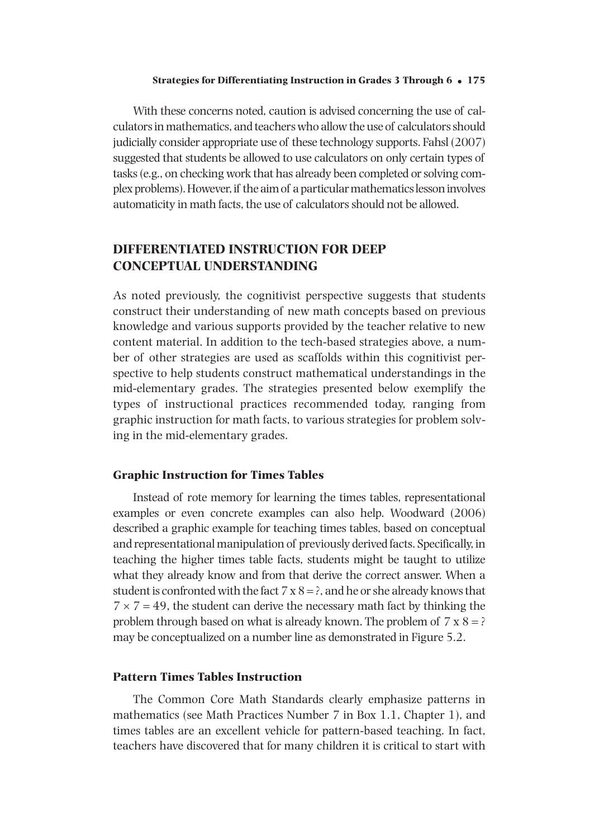With these concerns noted, caution is advised concerning the use of calculators in mathematics, and teachers who allow the use of calculators should judicially consider appropriate use of these technology supports. Fahsl (2007) suggested that students be allowed to use calculators on only certain types of tasks (e.g., on checking work that has already been completed or solving complex problems). However, if the aim of a particular mathematics lesson involves automaticity in math facts, the use of calculators should not be allowed.

# **DIFFERENTIATED INSTRUCTION FOR DEEP CONCEPTUAL UNDERSTANDING**

As noted previously, the cognitivist perspective suggests that students construct their understanding of new math concepts based on previous knowledge and various supports provided by the teacher relative to new content material. In addition to the tech-based strategies above, a number of other strategies are used as scaffolds within this cognitivist perspective to help students construct mathematical understandings in the mid-elementary grades. The strategies presented below exemplify the types of instructional practices recommended today, ranging from graphic instruction for math facts, to various strategies for problem solving in the mid-elementary grades.

# **Graphic Instruction for Times Tables**

Instead of rote memory for learning the times tables, representational examples or even concrete examples can also help. Woodward (2006) described a graphic example for teaching times tables, based on conceptual and representational manipulation of previously derived facts. Specifically, in teaching the higher times table facts, students might be taught to utilize what they already know and from that derive the correct answer. When a student is confronted with the fact  $7 \times 8 = ?$ , and he or she already knows that  $7 \times 7 = 49$ , the student can derive the necessary math fact by thinking the problem through based on what is already known. The problem of  $7 \times 8 = ?$ may be conceptualized on a number line as demonstrated in Figure 5.2.

# **Pattern Times Tables Instruction**

The Common Core Math Standards clearly emphasize patterns in mathematics (see Math Practices Number 7 in Box 1.1, Chapter 1), and times tables are an excellent vehicle for pattern-based teaching. In fact, teachers have discovered that for many children it is critical to start with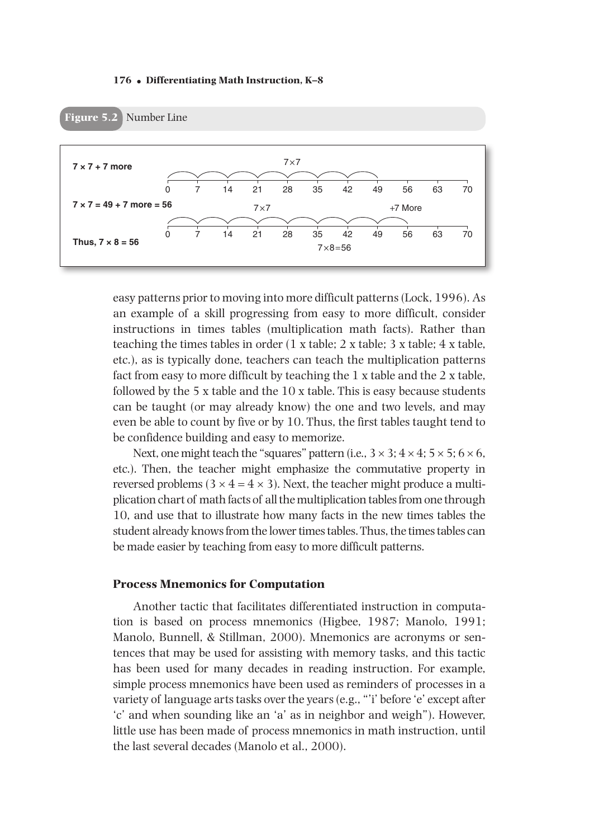

easy patterns prior to moving into more difficult patterns (Lock, 1996). As an example of a skill progressing from easy to more difficult, consider instructions in times tables (multiplication math facts). Rather than teaching the times tables in order (1 x table; 2 x table; 3 x table; 4 x table, etc.), as is typically done, teachers can teach the multiplication patterns fact from easy to more difficult by teaching the 1 x table and the 2 x table, followed by the 5 x table and the 10 x table. This is easy because students can be taught (or may already know) the one and two levels, and may even be able to count by five or by 10. Thus, the first tables taught tend to be confidence building and easy to memorize.

Next, one might teach the "squares" pattern (i.e.,  $3 \times 3$ ;  $4 \times 4$ ;  $5 \times 5$ ;  $6 \times 6$ , etc.). Then, the teacher might emphasize the commutative property in reversed problems ( $3 \times 4 = 4 \times 3$ ). Next, the teacher might produce a multiplication chart of math facts of all the multiplication tables from one through 10, and use that to illustrate how many facts in the new times tables the student already knows from the lower times tables. Thus, the times tables can be made easier by teaching from easy to more difficult patterns.

## **Process Mnemonics for Computation**

Another tactic that facilitates differentiated instruction in computation is based on process mnemonics (Higbee, 1987; Manolo, 1991; Manolo, Bunnell, & Stillman, 2000). Mnemonics are acronyms or sentences that may be used for assisting with memory tasks, and this tactic has been used for many decades in reading instruction. For example, simple process mnemonics have been used as reminders of processes in a variety of language arts tasks over the years (e.g., "'i' before 'e' except after 'c' and when sounding like an 'a' as in neighbor and weigh"). However, little use has been made of process mnemonics in math instruction, until the last several decades (Manolo et al., 2000).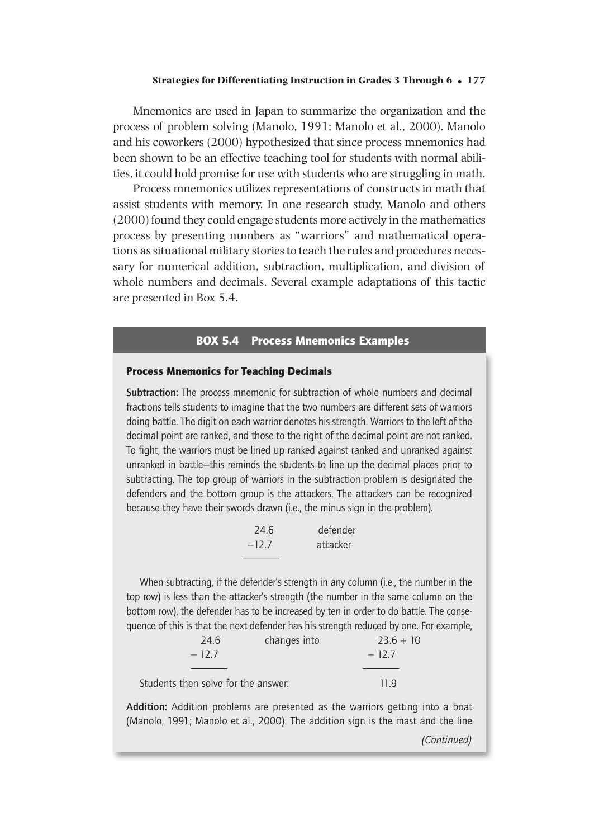Mnemonics are used in Japan to summarize the organization and the process of problem solving (Manolo, 1991; Manolo et al., 2000). Manolo and his coworkers (2000) hypothesized that since process mnemonics had been shown to be an effective teaching tool for students with normal abilities, it could hold promise for use with students who are struggling in math.

Process mnemonics utilizes representations of constructs in math that assist students with memory. In one research study, Manolo and others (2000) found they could engage students more actively in the mathematics process by presenting numbers as "warriors" and mathematical operations as situational military stories to teach the rules and procedures necessary for numerical addition, subtraction, multiplication, and division of whole numbers and decimals. Several example adaptations of this tactic are presented in Box 5.4.

# BOX 5.4 Process Mnemonics Examples

## Process Mnemonics for Teaching Decimals

Subtraction: The process mnemonic for subtraction of whole numbers and decimal fractions tells students to imagine that the two numbers are different sets of warriors doing battle. The digit on each warrior denotes his strength. Warriors to the left of the decimal point are ranked, and those to the right of the decimal point are not ranked. To fight, the warriors must be lined up ranked against ranked and unranked against unranked in battle—this reminds the students to line up the decimal places prior to subtracting. The top group of warriors in the subtraction problem is designated the defenders and the bottom group is the attackers. The attackers can be recognized because they have their swords drawn (i.e., the minus sign in the problem).

| 24.6    | defender |
|---------|----------|
| $-12.7$ | attacker |

––––––––

When subtracting, if the defender's strength in any column (i.e., the number in the top row) is less than the attacker's strength (the number in the same column on the bottom row), the defender has to be increased by ten in order to do battle. The consequence of this is that the next defender has his strength reduced by one. For example,

| 24.6                                | changes into | $23.6 + 10$ |
|-------------------------------------|--------------|-------------|
| $-12.7$                             |              | $-12.7$     |
|                                     |              |             |
| Students then solve for the answer: | 11 Q         |             |

Addition: Addition problems are presented as the warriors getting into a boat (Manolo, 1991; Manolo et al., 2000). The addition sign is the mast and the line

*(Continued)*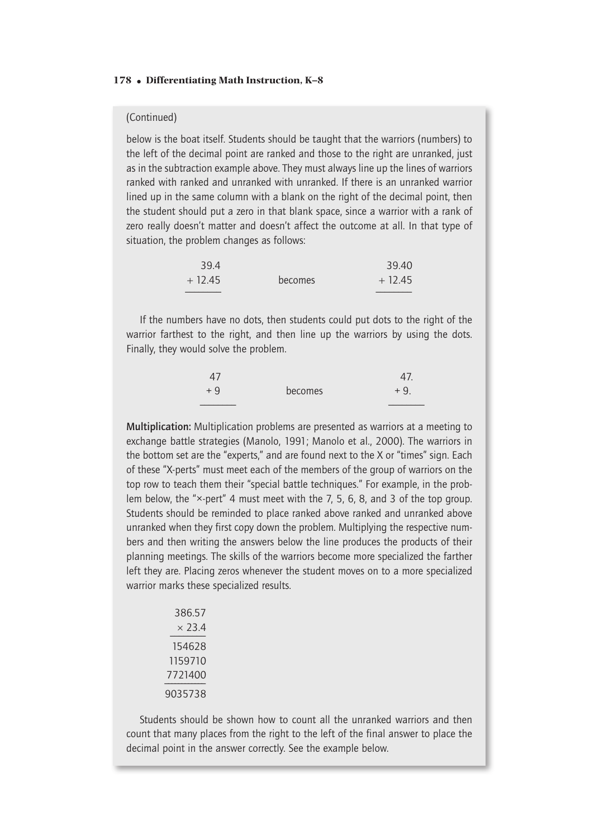#### (Continued)

below is the boat itself. Students should be taught that the warriors (numbers) to the left of the decimal point are ranked and those to the right are unranked, just as in the subtraction example above. They must always line up the lines of warriors ranked with ranked and unranked with unranked. If there is an unranked warrior lined up in the same column with a blank on the right of the decimal point, then the student should put a zero in that blank space, since a warrior with a rank of zero really doesn't matter and doesn't affect the outcome at all. In that type of situation, the problem changes as follows:

| 39.4     |         | 39.40    |
|----------|---------|----------|
| $+12.45$ | becomes | $+12.45$ |
|          |         |          |

If the numbers have no dots, then students could put dots to the right of the warrior farthest to the right, and then line up the warriors by using the dots. Finally, they would solve the problem.

| + 9 | becomes | $+9.$ |
|-----|---------|-------|
|     |         |       |

Multiplication: Multiplication problems are presented as warriors at a meeting to exchange battle strategies (Manolo, 1991; Manolo et al., 2000). The warriors in the bottom set are the "experts," and are found next to the X or "times" sign. Each of these "X-perts" must meet each of the members of the group of warriors on the top row to teach them their "special battle techniques." For example, in the problem below, the "×-pert" 4 must meet with the 7, 5, 6, 8, and 3 of the top group. Students should be reminded to place ranked above ranked and unranked above unranked when they first copy down the problem. Multiplying the respective numbers and then writing the answers below the line produces the products of their planning meetings. The skills of the warriors become more specialized the farther left they are. Placing zeros whenever the student moves on to a more specialized warrior marks these specialized results.

| 386.57        |
|---------------|
| $\times$ 23.4 |
| 154628        |
| 1159710       |
| 7721400       |
| 9035738       |

Students should be shown how to count all the unranked warriors and then count that many places from the right to the left of the final answer to place the decimal point in the answer correctly. See the example below.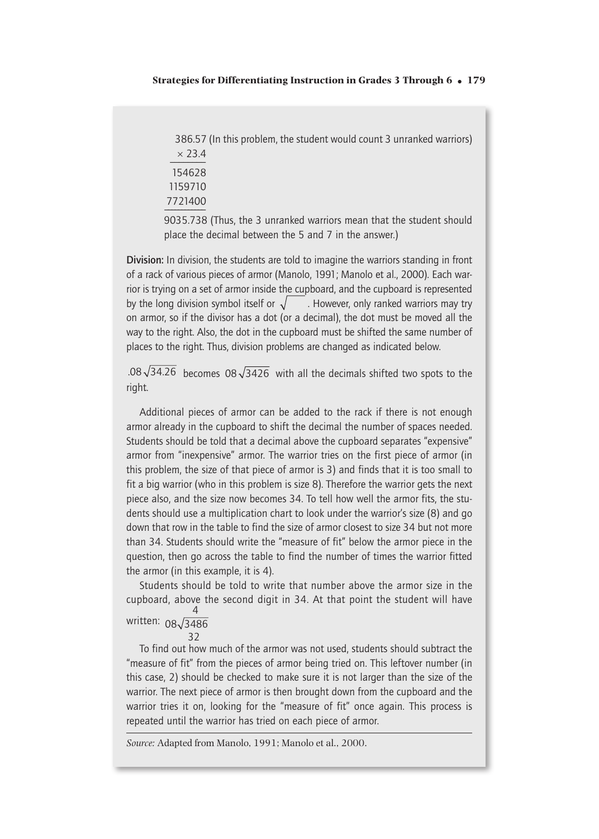386.57 (In this problem, the student would count 3 unranked warriors)  $\times$  23.4 154628 1159710 7721400

9035.738 (Thus, the 3 unranked warriors mean that the student should place the decimal between the 5 and 7 in the answer.)

Division: In division, the students are told to imagine the warriors standing in front of a rack of various pieces of armor (Manolo, 1991; Manolo et al., 2000). Each warrior is trying on a set of armor inside the cupboard, and the cupboard is represented by the long division symbol itself or  $\sqrt{\phantom{a}}$ . However, only ranked warriors may try on armor, so if the divisor has a dot (or a decimal), the dot must be moved all the way to the right. Also, the dot in the cupboard must be shifted the same number of places to the right. Thus, division problems are changed as indicated below.

 $.08\sqrt{34.26}$  becomes  $.08\sqrt{3426}$  with all the decimals shifted two spots to the right.

Additional pieces of armor can be added to the rack if there is not enough armor already in the cupboard to shift the decimal the number of spaces needed. Students should be told that a decimal above the cupboard separates "expensive" armor from "inexpensive" armor. The warrior tries on the first piece of armor (in this problem, the size of that piece of armor is 3) and finds that it is too small to fit a big warrior (who in this problem is size 8). Therefore the warrior gets the next piece also, and the size now becomes 34. To tell how well the armor fits, the students should use a multiplication chart to look under the warrior's size (8) and go down that row in the table to find the size of armor closest to size 34 but not more than 34. Students should write the "measure of fit" below the armor piece in the question, then go across the table to find the number of times the warrior fitted the armor (in this example, it is 4).

Students should be told to write that number above the armor size in the cupboard, above the second digit in 34. At that point the student will have 4

written: <sub>08</sub> / 3486

32

To find out how much of the armor was not used, students should subtract the "measure of fit" from the pieces of armor being tried on. This leftover number (in this case, 2) should be checked to make sure it is not larger than the size of the warrior. The next piece of armor is then brought down from the cupboard and the warrior tries it on, looking for the "measure of fit" once again. This process is repeated until the warrior has tried on each piece of armor.

*Source:* Adapted from Manolo, 1991; Manolo et al., 2000.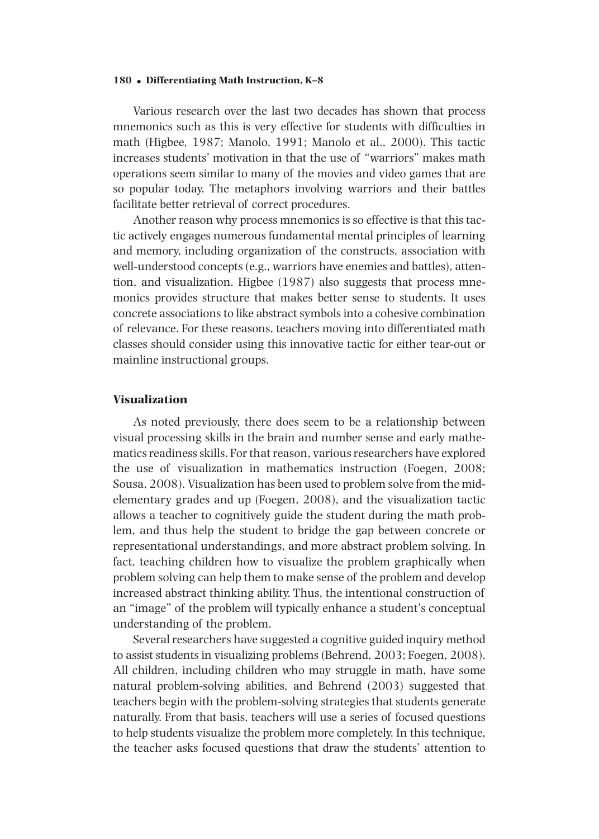Various research over the last two decades has shown that process mnemonics such as this is very effective for students with difficulties in math (Higbee, 1987; Manolo, 1991; Manolo et al., 2000). This tactic increases students' motivation in that the use of "warriors" makes math operations seem similar to many of the movies and video games that are so popular today. The metaphors involving warriors and their battles facilitate better retrieval of correct procedures.

Another reason why process mnemonics is so effective is that this tactic actively engages numerous fundamental mental principles of learning and memory, including organization of the constructs, association with well-understood concepts (e.g., warriors have enemies and battles), attention, and visualization. Higbee (1987) also suggests that process mnemonics provides structure that makes better sense to students. It uses concrete associations to like abstract symbols into a cohesive combination of relevance. For these reasons, teachers moving into differentiated math classes should consider using this innovative tactic for either tear-out or mainline instructional groups.

#### **Visualization**

As noted previously, there does seem to be a relationship between visual processing skills in the brain and number sense and early mathematics readiness skills. For that reason, various researchers have explored the use of visualization in mathematics instruction (Foegen, 2008; Sousa, 2008). Visualization has been used to problem solve from the midelementary grades and up (Foegen, 2008), and the visualization tactic allows a teacher to cognitively guide the student during the math problem, and thus help the student to bridge the gap between concrete or representational understandings, and more abstract problem solving. In fact, teaching children how to visualize the problem graphically when problem solving can help them to make sense of the problem and develop increased abstract thinking ability. Thus, the intentional construction of an "image" of the problem will typically enhance a student's conceptual understanding of the problem.

Several researchers have suggested a cognitive guided inquiry method to assist students in visualizing problems (Behrend, 2003; Foegen, 2008). All children, including children who may struggle in math, have some natural problem-solving abilities, and Behrend (2003) suggested that teachers begin with the problem-solving strategies that students generate naturally. From that basis, teachers will use a series of focused questions to help students visualize the problem more completely. In this technique, the teacher asks focused questions that draw the students' attention to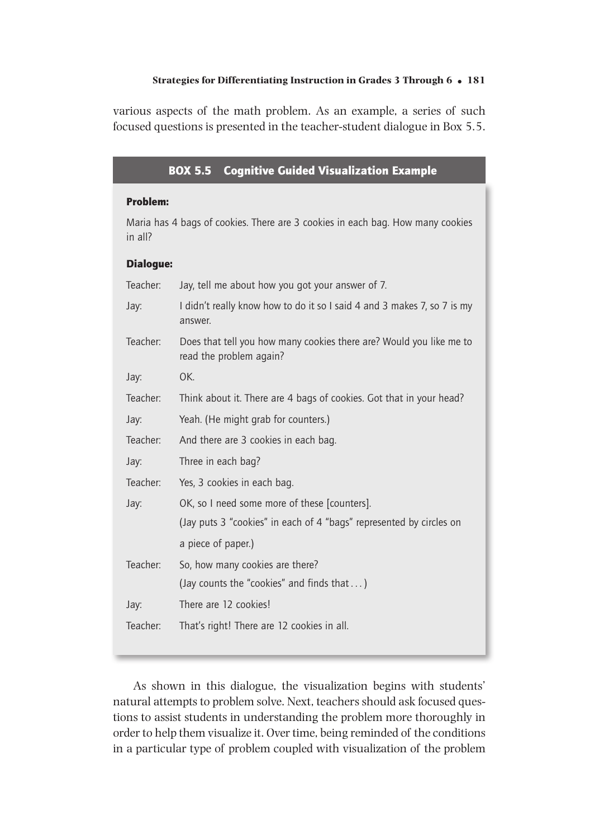various aspects of the math problem. As an example, a series of such focused questions is presented in the teacher-student dialogue in Box 5.5.

# BOX 5.5 Cognitive Guided Visualization Example

#### Problem:

Maria has 4 bags of cookies. There are 3 cookies in each bag. How many cookies in all?

# Dialogue:

| Teacher:                                    | Jay, tell me about how you got your answer of 7.                                               |  |  |
|---------------------------------------------|------------------------------------------------------------------------------------------------|--|--|
| Jay:                                        | I didn't really know how to do it so I said 4 and 3 makes 7, so 7 is my<br>answer.             |  |  |
| Teacher:                                    | Does that tell you how many cookies there are? Would you like me to<br>read the problem again? |  |  |
| Jay:                                        | OK.                                                                                            |  |  |
| Teacher:                                    | Think about it. There are 4 bags of cookies. Got that in your head?                            |  |  |
| Jay:                                        | Yeah. (He might grab for counters.)                                                            |  |  |
| Teacher:                                    | And there are 3 cookies in each bag.                                                           |  |  |
| Jay:                                        | Three in each bag?                                                                             |  |  |
| Teacher:                                    | Yes, 3 cookies in each bag.                                                                    |  |  |
| Jay:                                        | OK, so I need some more of these [counters].                                                   |  |  |
|                                             | (Jay puts 3 "cookies" in each of 4 "bags" represented by circles on                            |  |  |
|                                             | a piece of paper.)                                                                             |  |  |
| Teacher:<br>So, how many cookies are there? |                                                                                                |  |  |
|                                             | (Jay counts the "cookies" and finds that )                                                     |  |  |
| Jay:                                        | There are 12 cookies!                                                                          |  |  |
| Teacher:                                    | That's right! There are 12 cookies in all.                                                     |  |  |

As shown in this dialogue, the visualization begins with students' natural attempts to problem solve. Next, teachers should ask focused questions to assist students in understanding the problem more thoroughly in order to help them visualize it. Over time, being reminded of the conditions in a particular type of problem coupled with visualization of the problem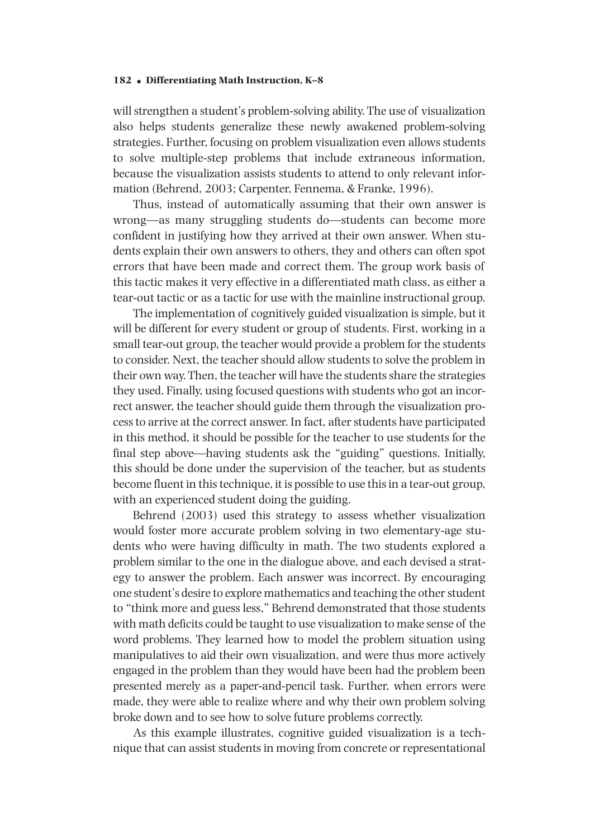will strengthen a student's problem-solving ability. The use of visualization also helps students generalize these newly awakened problem-solving strategies. Further, focusing on problem visualization even allows students to solve multiple-step problems that include extraneous information, because the visualization assists students to attend to only relevant information (Behrend, 2003; Carpenter, Fennema, & Franke, 1996).

Thus, instead of automatically assuming that their own answer is wrong—as many struggling students do—students can become more confident in justifying how they arrived at their own answer. When students explain their own answers to others, they and others can often spot errors that have been made and correct them. The group work basis of this tactic makes it very effective in a differentiated math class, as either a tear-out tactic or as a tactic for use with the mainline instructional group.

The implementation of cognitively guided visualization is simple, but it will be different for every student or group of students. First, working in a small tear-out group, the teacher would provide a problem for the students to consider. Next, the teacher should allow students to solve the problem in their own way. Then, the teacher will have the students share the strategies they used. Finally, using focused questions with students who got an incorrect answer, the teacher should guide them through the visualization process to arrive at the correct answer. In fact, after students have participated in this method, it should be possible for the teacher to use students for the final step above—having students ask the "guiding" questions. Initially, this should be done under the supervision of the teacher, but as students become fluent in this technique, it is possible to use this in a tear-out group, with an experienced student doing the guiding.

Behrend (2003) used this strategy to assess whether visualization would foster more accurate problem solving in two elementary-age students who were having difficulty in math. The two students explored a problem similar to the one in the dialogue above, and each devised a strategy to answer the problem. Each answer was incorrect. By encouraging one student's desire to explore mathematics and teaching the other student to "think more and guess less," Behrend demonstrated that those students with math deficits could be taught to use visualization to make sense of the word problems. They learned how to model the problem situation using manipulatives to aid their own visualization, and were thus more actively engaged in the problem than they would have been had the problem been presented merely as a paper-and-pencil task. Further, when errors were made, they were able to realize where and why their own problem solving broke down and to see how to solve future problems correctly.

As this example illustrates, cognitive guided visualization is a technique that can assist students in moving from concrete or representational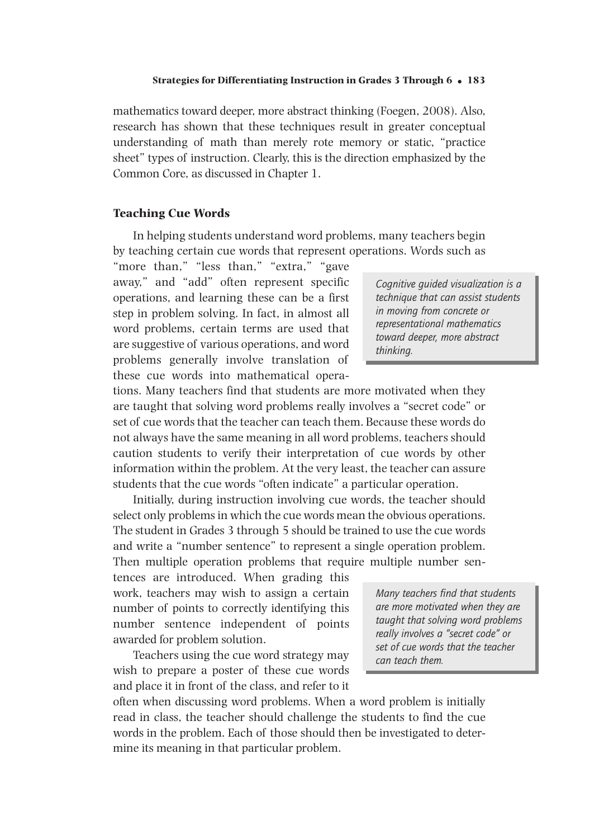mathematics toward deeper, more abstract thinking (Foegen, 2008). Also, research has shown that these techniques result in greater conceptual understanding of math than merely rote memory or static, "practice sheet" types of instruction. Clearly, this is the direction emphasized by the Common Core, as discussed in Chapter 1.

# **Teaching Cue Words**

In helping students understand word problems, many teachers begin by teaching certain cue words that represent operations. Words such as

"more than," "less than," "extra," "gave away," and "add" often represent specific operations, and learning these can be a first step in problem solving. In fact, in almost all word problems, certain terms are used that are suggestive of various operations, and word problems generally involve translation of these cue words into mathematical opera-

tions. Many teachers find that students are more motivated when they are taught that solving word problems really involves a "secret code" or set of cue words that the teacher can teach them. Because these words do not always have the same meaning in all word problems, teachers should caution students to verify their interpretation of cue words by other information within the problem. At the very least, the teacher can assure students that the cue words "often indicate" a particular operation.

Initially, during instruction involving cue words, the teacher should select only problems in which the cue words mean the obvious operations. The student in Grades 3 through 5 should be trained to use the cue words and write a "number sentence" to represent a single operation problem. Then multiple operation problems that require multiple number sen-

tences are introduced. When grading this work, teachers may wish to assign a certain number of points to correctly identifying this number sentence independent of points awarded for problem solution.

Teachers using the cue word strategy may wish to prepare a poster of these cue words and place it in front of the class, and refer to it

often when discussing word problems. When a word problem is initially read in class, the teacher should challenge the students to find the cue words in the problem. Each of those should then be investigated to determine its meaning in that particular problem.

*Many teachers find that students are more motivated when they are taught that solving word problems really involves a "secret code" or set of cue words that the teacher can teach them.*

*Cognitive guided visualization is a technique that can assist students in moving from concrete or representational mathematics toward deeper, more abstract thinking.*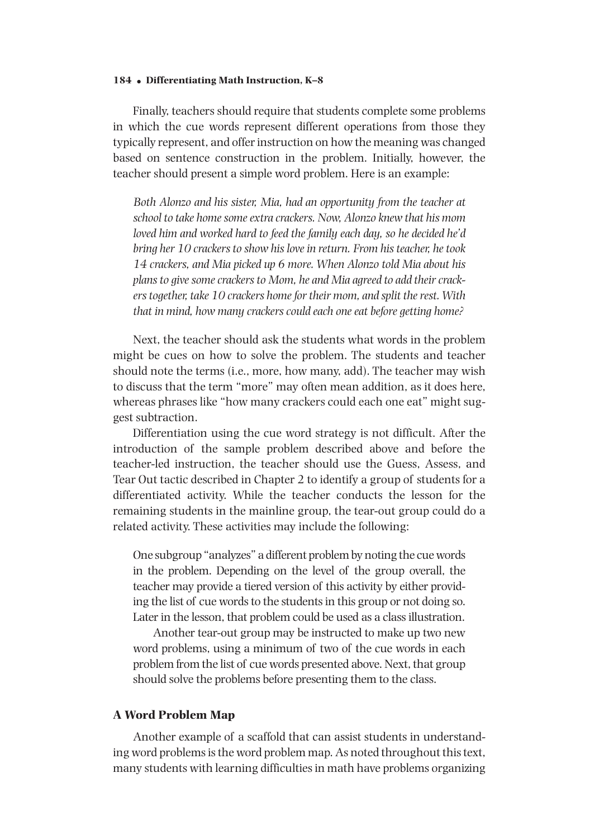Finally, teachers should require that students complete some problems in which the cue words represent different operations from those they typically represent, and offer instruction on how the meaning was changed based on sentence construction in the problem. Initially, however, the teacher should present a simple word problem. Here is an example:

*Both Alonzo and his sister, Mia, had an opportunity from the teacher at school to take home some extra crackers. Now, Alonzo knew that his mom loved him and worked hard to feed the family each day, so he decided he'd bring her 10 crackers to show his love in return. From his teacher, he took 14 crackers, and Mia picked up 6 more. When Alonzo told Mia about his plans to give some crackers to Mom, he and Mia agreed to add their crackers together, take 10 crackers home for their mom, and split the rest. With that in mind, how many crackers could each one eat before getting home?*

Next, the teacher should ask the students what words in the problem might be cues on how to solve the problem. The students and teacher should note the terms (i.e., more, how many, add). The teacher may wish to discuss that the term "more" may often mean addition, as it does here, whereas phrases like "how many crackers could each one eat" might suggest subtraction.

Differentiation using the cue word strategy is not difficult. After the introduction of the sample problem described above and before the teacher-led instruction, the teacher should use the Guess, Assess, and Tear Out tactic described in Chapter 2 to identify a group of students for a differentiated activity. While the teacher conducts the lesson for the remaining students in the mainline group, the tear-out group could do a related activity. These activities may include the following:

One subgroup "analyzes" a different problem by noting the cue words in the problem. Depending on the level of the group overall, the teacher may provide a tiered version of this activity by either providing the list of cue words to the students in this group or not doing so. Later in the lesson, that problem could be used as a class illustration.

Another tear-out group may be instructed to make up two new word problems, using a minimum of two of the cue words in each problem from the list of cue words presented above. Next, that group should solve the problems before presenting them to the class.

# **A Word Problem Map**

Another example of a scaffold that can assist students in understanding word problems is the word problem map. As noted throughout this text, many students with learning difficulties in math have problems organizing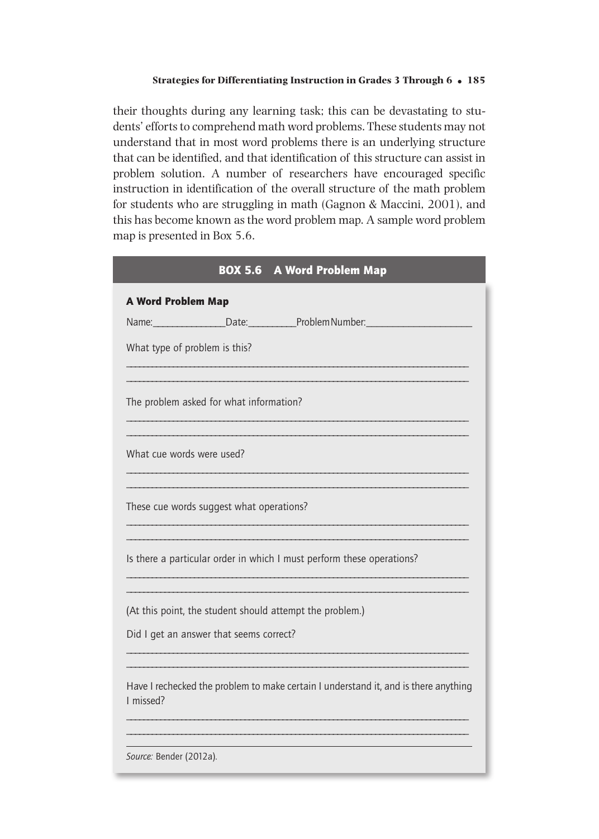their thoughts during any learning task; this can be devastating to students' efforts to comprehend math word problems. These students may not understand that in most word problems there is an underlying structure that can be identified, and that identification of this structure can assist in problem solution. A number of researchers have encouraged specific instruction in identification of the overall structure of the math problem for students who are struggling in math (Gagnon & Maccini, 2001), and this has become known as the word problem map. A sample word problem map is presented in Box 5.6.

|                                          | <b>BOX 5.6 A Word Problem Map</b>                                                   |
|------------------------------------------|-------------------------------------------------------------------------------------|
| <b>A Word Problem Map</b>                |                                                                                     |
|                                          |                                                                                     |
| What type of problem is this?            |                                                                                     |
| The problem asked for what information?  |                                                                                     |
| What cue words were used?                |                                                                                     |
| These cue words suggest what operations? |                                                                                     |
|                                          | Is there a particular order in which I must perform these operations?               |
|                                          | (At this point, the student should attempt the problem.)                            |
| Did I get an answer that seems correct?  |                                                                                     |
| I missed?                                | Have I rechecked the problem to make certain I understand it, and is there anything |
| Source: Bender (2012a).                  |                                                                                     |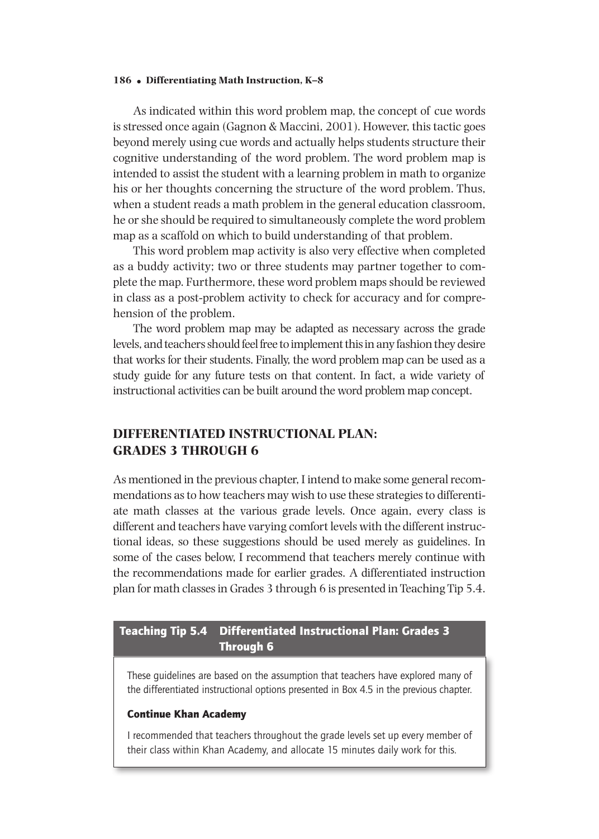As indicated within this word problem map, the concept of cue words is stressed once again (Gagnon & Maccini, 2001). However, this tactic goes beyond merely using cue words and actually helps students structure their cognitive understanding of the word problem. The word problem map is intended to assist the student with a learning problem in math to organize his or her thoughts concerning the structure of the word problem. Thus, when a student reads a math problem in the general education classroom, he or she should be required to simultaneously complete the word problem map as a scaffold on which to build understanding of that problem.

This word problem map activity is also very effective when completed as a buddy activity; two or three students may partner together to complete the map. Furthermore, these word problem maps should be reviewed in class as a post-problem activity to check for accuracy and for comprehension of the problem.

The word problem map may be adapted as necessary across the grade levels, and teachers should feel free to implement this in any fashion they desire that works for their students. Finally, the word problem map can be used as a study guide for any future tests on that content. In fact, a wide variety of instructional activities can be built around the word problem map concept.

# **DIFFERENTIATED INSTRUCTIONAL PLAN: GRADES 3 THROUGH 6**

As mentioned in the previous chapter, I intend to make some general recommendations as to how teachers may wish to use these strategies to differentiate math classes at the various grade levels. Once again, every class is different and teachers have varying comfort levels with the different instructional ideas, so these suggestions should be used merely as guidelines. In some of the cases below, I recommend that teachers merely continue with the recommendations made for earlier grades. A differentiated instruction plan for math classes in Grades 3 through 6 is presented in Teaching Tip 5.4.

# Teaching Tip 5.4 Differentiated Instructional Plan: Grades 3 Through 6

These guidelines are based on the assumption that teachers have explored many of the differentiated instructional options presented in Box 4.5 in the previous chapter.

# Continue Khan Academy

I recommended that teachers throughout the grade levels set up every member of their class within Khan Academy, and allocate 15 minutes daily work for this.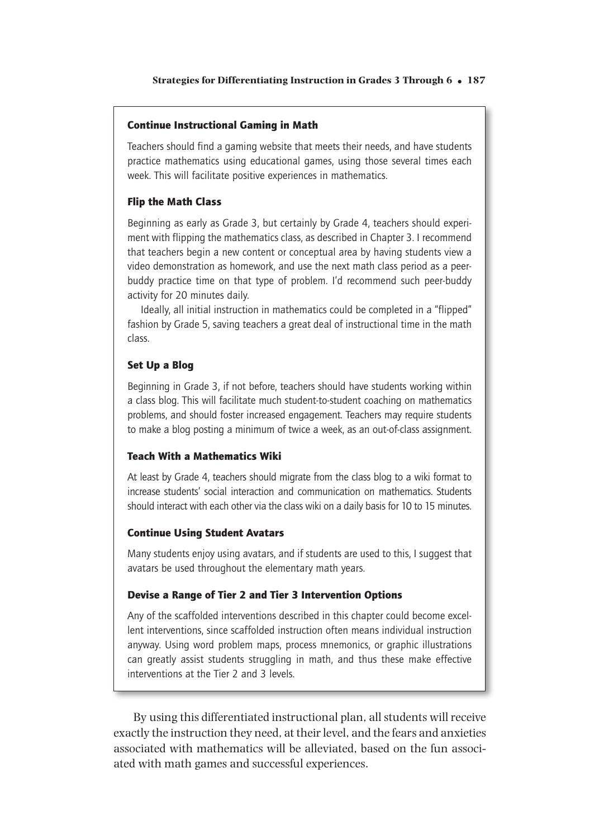## Continue Instructional Gaming in Math

Teachers should find a gaming website that meets their needs, and have students practice mathematics using educational games, using those several times each week. This will facilitate positive experiences in mathematics.

# Flip the Math Class

Beginning as early as Grade 3, but certainly by Grade 4, teachers should experiment with flipping the mathematics class, as described in Chapter 3. I recommend that teachers begin a new content or conceptual area by having students view a video demonstration as homework, and use the next math class period as a peerbuddy practice time on that type of problem. I'd recommend such peer-buddy activity for 20 minutes daily.

Ideally, all initial instruction in mathematics could be completed in a "flipped" fashion by Grade 5, saving teachers a great deal of instructional time in the math class.

# Set Up a Blog

Beginning in Grade 3, if not before, teachers should have students working within a class blog. This will facilitate much student-to-student coaching on mathematics problems, and should foster increased engagement. Teachers may require students to make a blog posting a minimum of twice a week, as an out-of-class assignment.

## Teach With a Mathematics Wiki

At least by Grade 4, teachers should migrate from the class blog to a wiki format to increase students' social interaction and communication on mathematics. Students should interact with each other via the class wiki on a daily basis for 10 to 15 minutes.

# Continue Using Student Avatars

Many students enjoy using avatars, and if students are used to this, I suggest that avatars be used throughout the elementary math years.

# Devise a Range of Tier 2 and Tier 3 Intervention Options

Any of the scaffolded interventions described in this chapter could become excellent interventions, since scaffolded instruction often means individual instruction anyway. Using word problem maps, process mnemonics, or graphic illustrations can greatly assist students struggling in math, and thus these make effective interventions at the Tier 2 and 3 levels.

By using this differentiated instructional plan, all students will receive exactly the instruction they need, at their level, and the fears and anxieties associated with mathematics will be alleviated, based on the fun associated with math games and successful experiences.